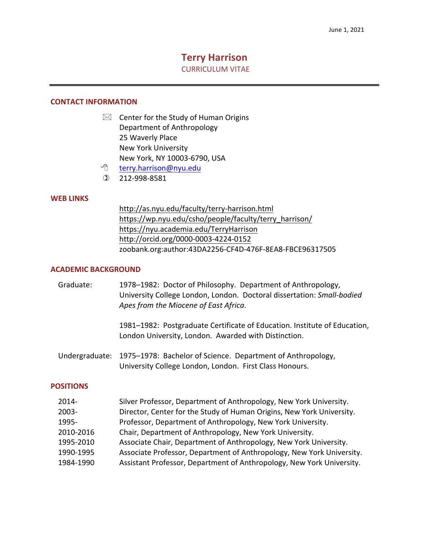# **Terry Harrison**

**CURRICULUM VITAE** 

#### **CONTACT INFORMATION**

- $\boxtimes$  Center for the Study of Human Origins 25 Waverly Place Department of Anthropology New York University New York, NY 10003-6790, USA
	- ≁ 8 [terry.harrison@nyu.edu](mailto:terry.harrison@nyu.edu)
- ) 212-998-8581

# **WEB LINKS**

[http://as.nyu.edu/faculty/terry-harrison.html](http://as.nyu.edu/faculty/terry-�-harrison.html) [https://wp.nyu.edu/csho/people/faculty/terry\\_harrison](https://wp.nyu.edu/csho/people/faculty/terry_harrison)/ <https://nyu.academia.edu/TerryHarrison> [http://orcid.org/0000-0003-4224-0152](http://orcid.org/0000-�-0003-�-4224-�-0152) zoobank.org:author:43DA2256-CF4D-476F-8EA8-FBCE96317505

#### **ACADEMIC BACKGROUND**

| Graduate: | 1978–1982: Doctor of Philosophy. Department of Anthropology,<br>University College London, London. Doctoral dissertation: Small-bodied<br>Apes from the Miocene of East Africa. |
|-----------|---------------------------------------------------------------------------------------------------------------------------------------------------------------------------------|
|           | 1981–1982: Postgraduate Certificate of Education. Institute of Education,<br>London University, London. Awarded with Distinction.                                               |
|           | Undergraduate: 1975–1978: Bachelor of Science. Department of Anthropology,<br>University College London, London. First Class Honours.                                           |

#### **POSITIONS**

| $2014 -$  | Silver Professor, Department of Anthropology, New York University.    |
|-----------|-----------------------------------------------------------------------|
| $2003 -$  | Director, Center for the Study of Human Origins, New York University. |
| 1995-     | Professor, Department of Anthropology, New York University.           |
| 2010-2016 | Chair, Department of Anthropology, New York University.               |
| 1995-2010 | Associate Chair, Department of Anthropology, New York University.     |
| 1990-1995 | Associate Professor, Department of Anthropology, New York University. |
| 1984-1990 | Assistant Professor, Department of Anthropology, New York University. |
|           |                                                                       |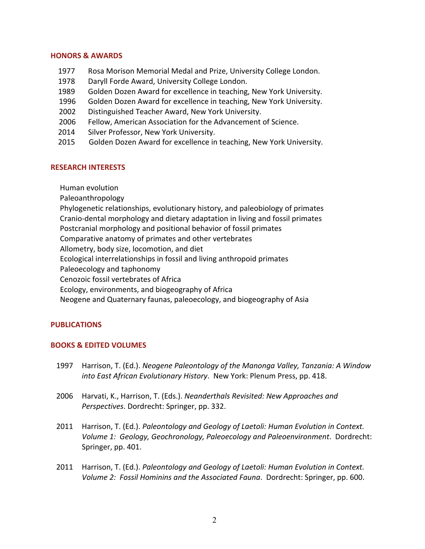# **HONORS & AWARDS**

- 1977 Rosa Morison Memorial Medal and Prize, University College London.
- 1978 Daryll Forde Award, University College London.
- 1989 Golden Dozen Award for excellence in teaching, New York University.
	- 1996 Golden Dozen Award for excellence in teaching, New York University.
	- 2002 Distinguished Teacher Award, New York University.
	- 2006 Fellow, American Association for the Advancement of Science.
- 2014 Silver Professor, New York University.
- 2015 Golden Dozen Award for excellence in teaching, New York University.

# **RESEARCH INTERESTS**

 Human evolution

 Paleoanthropology

 Phylogenetic relationships, evolutionary history, and paleobiology of primates

 Cranio-dental morphology and dietary adaptation in living and fossil primates

 Postcranial morphology and positional behavior of fossil primates

 Comparative anatomy of primates and other vertebrates

 Allometry, body size, locomotion, and diet

 Ecological interrelationships in fossil and living anthropoid primates

 Paleoecology and taphonomy

 Cenozoic fossil vertebrates of Africa 

 Ecology, environments, and biogeography of Africa

 Neogene and Quaternary faunas, paleoecology, and biogeography of Asia

# **PUBLICATIONS**

### **BOOKS & EDITED VOLUMES**

- 1997 Harrison, T. (Ed.). *Neogene Paleontology of the Manonga Valley, Tanzania: A Window into East African Evolutionary History*. New York: Plenum Press, pp. 418.
- 2006 Harvati, K., Harrison, T. (Eds.). *Neanderthals Revisited: New Approaches and Perspectives*. Dordrecht: Springer, pp. 332.
- 2011 Harrison, T. (Ed.). *Paleontology and Geology of Laetoli: Human Evolution in Context. Volume 1: Geology, Geochronology, Paleoecology and Paleoenvironment*. Dordrecht: Springer, pp. 401.
- 2011 Harrison, T. (Ed.). *Paleontology and Geology of Laetoli: Human Evolution in Context. Volume 2: Fossil Hominins and the Associated Fauna. Dordrecht: Springer, pp. 600.*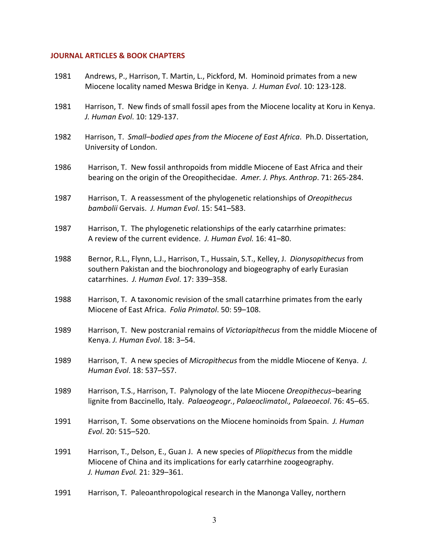#### **JOURNAL ARTICLES & BOOK CHAPTERS**

| 1981 | Andrews, P., Harrison, T. Martin, L., Pickford, M. Hominoid primates from a new<br>Miocene locality named Meswa Bridge in Kenya. J. Human Evol. 10: 123-128.                                                      |
|------|-------------------------------------------------------------------------------------------------------------------------------------------------------------------------------------------------------------------|
| 1981 | Harrison, T. New finds of small fossil apes from the Miocene locality at Koru in Kenya.<br>J. Human Evol. 10: 129-137.                                                                                            |
| 1982 | Harrison, T. Small-bodied apes from the Miocene of East Africa. Ph.D. Dissertation,<br>University of London.                                                                                                      |
| 1986 | Harrison, T. New fossil anthropoids from middle Miocene of East Africa and their<br>bearing on the origin of the Oreopithecidae. Amer. J. Phys. Anthrop. 71: 265-284.                                             |
| 1987 | Harrison, T. A reassessment of the phylogenetic relationships of Oreopithecus<br>bambolii Gervais. J. Human Evol. 15: 541-583.                                                                                    |
| 1987 | Harrison, T. The phylogenetic relationships of the early catarrhine primates:<br>A review of the current evidence. J. Human Evol. 16: 41-80.                                                                      |
| 1988 | Bernor, R.L., Flynn, L.J., Harrison, T., Hussain, S.T., Kelley, J. Dionysopithecus from<br>southern Pakistan and the biochronology and biogeography of early Eurasian<br>catarrhines. J. Human Evol. 17: 339-358. |
| 1988 | Harrison, T. A taxonomic revision of the small catarrhine primates from the early<br>Miocene of East Africa. Folia Primatol. 50: 59-108.                                                                          |
| 1989 | Harrison, T. New postcranial remains of Victoriapithecus from the middle Miocene of<br>Kenya. J. Human Evol. 18: 3-54.                                                                                            |
| 1989 | Harrison, T. A new species of Micropithecus from the middle Miocene of Kenya. J.<br>Human Evol. 18: 537-557.                                                                                                      |
| 1989 | Harrison, T.S., Harrison, T. Palynology of the late Miocene Oreopithecus-bearing<br>lignite from Baccinello, Italy. Palaeogeogr., Palaeoclimatol., Palaeoecol. 76: 45-65.                                         |
| 1991 | Harrison, T. Some observations on the Miocene hominoids from Spain. J. Human<br>Evol. 20: 515-520.                                                                                                                |
| 1991 | Harrison, T., Delson, E., Guan J. A new species of <i>Pliopithecus</i> from the middle<br>Miocene of China and its implications for early catarrhine zoogeography.<br>J. Human Evol. 21: 329-361.                 |
| 1991 | Harrison, T. Paleoanthropological research in the Manonga Valley, northern                                                                                                                                        |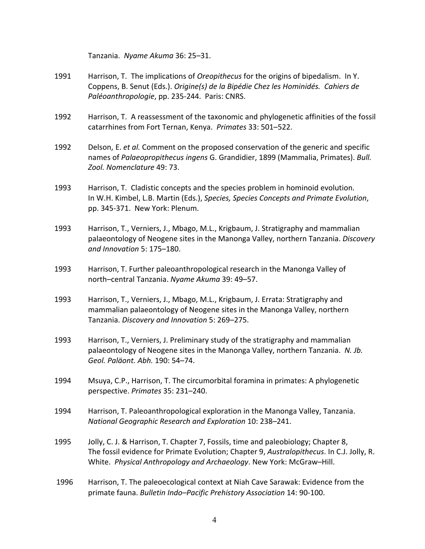Tanzania. *Nyame Akuma* 36: 25–31.

- 1991 Harrison, T. The implications of *Oreopithecus* for the origins of bipedalism. In Y.  Coppens, B. Senut (Eds.). *Origine(s) de la Bipédie Chez les Hominidés. Cahiers de Paléoanthropologie*, pp. 235-244. Paris: CNRS.
- 1992 Harrison, T. A reassessment of the taxonomic and phylogenetic affinities of the fossil catarrhines from Fort Ternan, Kenya. Primates 33: 501-522.
- 1992 Delson, E. *et al.* Comment on the proposed conservation of the generic and specific names of *Palaeopropithecus ingens* G. Grandidier, 1899 (Mammalia, Primates). *Bull. Zool. Nomenclature* 49: 73.
- 1993 Harrison, T. Cladistic concepts and the species problem in hominoid evolution.  In W.H. Kimbel, L.B. Martin (Eds.), *Species, Species Concepts and Primate Evolution*, pp. 345-371. New York: Plenum.
- 1993 Harrison, T., Verniers, J., Mbago, M.L., Krigbaum, J. Stratigraphy and mammalian palaeontology of Neogene sites in the Manonga Valley, northern Tanzania. *Discovery and Innovation* 5: 175–180.
- 1993 Harrison, T. Further paleoanthropological research in the Manonga Valley of north–central Tanzania. *Nyame Akuma* 39: 49–57.
- 1993 Harrison, T., Verniers, J., Mbago, M.L., Krigbaum, J. Errata: Stratigraphy and mammalian palaeontology of Neogene sites in the Manonga Valley, northern  Tanzania. *Discovery and Innovation* 5: 269–275.
- 1993 Harrison, T., Verniers, J. Preliminary study of the stratigraphy and mammalian palaeontology of Neogene sites in the Manonga Valley, northern Tanzania. N. Jb.  *Geol. Paläont. Abh.* 190: 54–74.
- 1994 Msuya, C.P., Harrison, T. The circumorbital foramina in primates: A phylogenetic perspective. *Primates* 35: 231–240.
- 1994 Harrison, T. Paleoanthropological exploration in the Manonga Valley, Tanzania.  *National Geographic Research and Exploration* 10: 238–241.
- 1995 Jolly, C. J. & Harrison, T. Chapter 7, Fossils, time and paleobiology; Chapter 8, The fossil evidence for Primate Evolution; Chapter 9, *Australopithecus*. In C.J. Jolly, R.  White. *Physical Anthropology and Archaeology*. New York: McGraw–Hill.
- 1996 Harrison, T. The paleoecological context at Niah Cave Sarawak: Evidence from the primate fauna. *Bulletin Indo–Pacific Prehistory Association* 14: 90-100.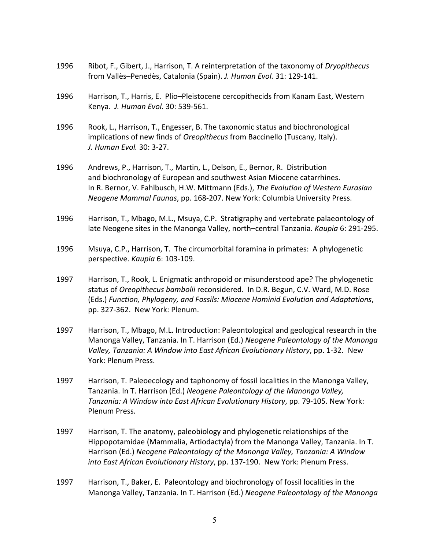- 1996 Ribot, F., Gibert, J., Harrison, T. A reinterpretation of the taxonomy of *Dryopithecus*  from Vallès–Penedès, Catalonia (Spain). *J. Human Evol.* 31: 129-141.
- 1996 Harrison, T., Harris, E. Plio–Pleistocene cercopithecids from Kanam East, Western  Kenya. *J. Human Evol.* 30: 539-561.
- 1996 Rook, L., Harrison, T., Engesser, B. The taxonomic status and biochronological implications of new finds of *Oreopithecus* from Baccinello (Tuscany, Italy).  *J. Human Evol.* 30: 3-27.
- 1996 Andrews, P., Harrison, T., Martin, L., Delson, E., Bernor, R. Distribution and biochronology of European and southwest Asian Miocene catarrhines.  In R. Bernor, V. Fahlbusch, H.W. Mittmann (Eds.), *The Evolution of Western Eurasian Neogene Mammal Faunas*, pp*.* 168-207. New York: Columbia University Press.
- 1996 Harrison, T., Mbago, M.L., Msuya, C.P. Stratigraphy and vertebrate palaeontology of late Neogene sites in the Manonga Valley, north–central Tanzania. *Kaupia* 6: 291-295.
- 1996 Msuya, C.P., Harrison, T. The circumorbital foramina in primates: A phylogenetic perspective. *Kaupia* 6: 103-109.
- 1997 Harrison, T., Rook, L. Enigmatic anthropoid or misunderstood ape? The phylogenetic status of *Oreopithecus bambolii* reconsidered. In D.R. Begun, C.V. Ward, M.D. Rose  (Eds.) *Function, Phylogeny, and Fossils: Miocene Hominid Evolution and Adaptations*, pp. 327-362. New York: Plenum.
- 1997 Harrison, T., Mbago, M.L. Introduction: Paleontological and geological research in the  Manonga Valley, Tanzania. In T. Harrison (Ed.) *Neogene Paleontology of the Manonga Valley, Tanzania: A Window into East African Evolutionary History*, pp. 1-32. New York: Plenum Press.
- 1997 Harrison, T. Paleoecology and taphonomy of fossil localities in the Manonga Valley,  Tanzania. In T. Harrison (Ed.) *Neogene Paleontology of the Manonga Valley, Tanzania: A Window into East African Evolutionary History*, pp. 79-105. New York: Plenum Press.
- 1997 Harrison, T. The anatomy, paleobiology and phylogenetic relationships of the Hippopotamidae (Mammalia, Artiodactyla) from the Manonga Valley, Tanzania. In T.  Harrison (Ed.) *Neogene Paleontology of the Manonga Valley, Tanzania: A Window into East African Evolutionary History*, pp. 137-190. New York: Plenum Press.
- 1997 Harrison, T., Baker, E. Paleontology and biochronology of fossil localities in the  Manonga Valley, Tanzania. In T. Harrison (Ed.) *Neogene Paleontology of the Manonga*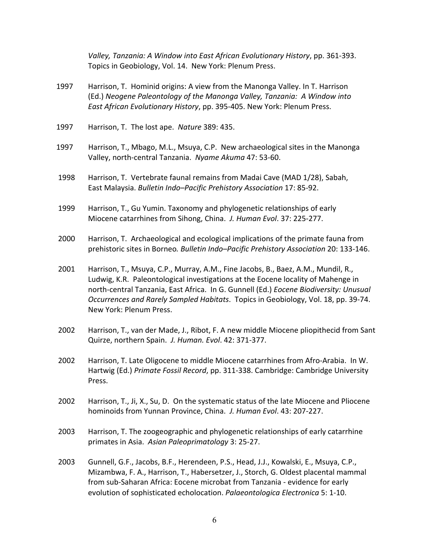*Valley, Tanzania: A Window into East African Evolutionary History*, pp. 361-393. Topics in Geobiology, Vol. 14. New York: Plenum Press.

- 1997 Harrison, T. Hominid origins: A view from the Manonga Valley. In T. Harrison  (Ed.) *Neogene Paleontology of the Manonga Valley, Tanzania: A Window into East African Evolutionary History, pp. 395-405. New York: Plenum Press.*
- 1997 Harrison, T. The lost ape. *Nature* 389: 435.
- 1997 Harrison, T., Mbago, M.L., Msuya, C.P. New archaeological sites in the Manonga Valley, north-central Tanzania. *Nyame Akuma* 47: 53-60.
- 1998 Harrison, T. Vertebrate faunal remains from Madai Cave (MAD 1/28), Sabah, East Malaysia. *Bulletin Indo–Pacific Prehistory Association* 17: 85-92.
- 1999 Harrison, T., Gu Yumin. Taxonomy and phylogenetic relationships of early  Miocene catarrhines from Sihong, China. *J. Human Evol*. 37: 225-277.
- 2000 Harrison, T. Archaeological and ecological implications of the primate fauna from prehistoric sites in Borneo*. Bulletin Indo–Pacific Prehistory Association* 20: 133-146.
- 2001 Harrison, T., Msuya, C.P., Murray, A.M., Fine Jacobs, B., Baez, A.M., Mundil, R., Ludwig, K.R. Paleontological investigations at the Eocene locality of Mahenge in  north-central Tanzania, East Africa. In G. Gunnell (Ed.) *Eocene Biodiversity: Unusual Occurrences and Rarely Sampled Habitats. Topics in Geobiology, Vol. 18, pp. 39-74.* New York: Plenum Press.
- 2002 Harrison, T., van der Made, J., Ribot, F. A new middle Miocene pliopithecid from Sant  Quirze, northern Spain. *J. Human. Evol*. 42: 371-377.
- 2002 Harrison, T. Late Oligocene to middle Miocene catarrhines from Afro-Arabia. In W. Hartwig (Ed.) Primate Fossil Record, pp. 311-338. Cambridge: Cambridge University Press.
- 2002 Harrison, T., Ji, X., Su, D. On the systematic status of the late Miocene and Pliocene  hominoids from Yunnan Province, China. *J. Human Evol*. 43: 207-227.
- 2003 Harrison, T. The zoogeographic and phylogenetic relationships of early catarrhine primates in Asia. *Asian Paleoprimatology* 3: 25-27.
- 2003 Gunnell, G.F., Jacobs, B.F., Herendeen, P.S., Head, J.J., Kowalski, E., Msuya, C.P., Mizambwa, F. A., Harrison, T., Habersetzer, J., Storch, G. Oldest placental mammal from sub-Saharan Africa: Eocene microbat from Tanzania - evidence for early evolution of sophisticated echolocation. *Palaeontologica Electronica* 5: 1-10.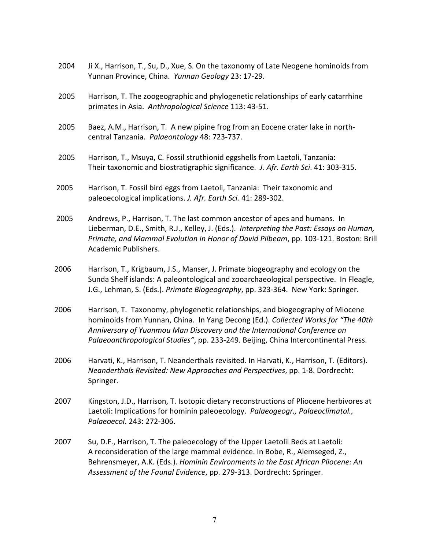2004 Ji X., Harrison, T., Su, D., Xue, S. On the taxonomy of Late Neogene hominoids from Yunnan Province, China. *Yunnan Geology* 23: 17-29. 2005 Harrison, T. The zoogeographic and phylogenetic relationships of early catarrhine primates in Asia. *Anthropological Science* 113: 43-51. 2005 Baez, A.M., Harrison, T. A new pipine frog from an Eocene crater lake in north- central Tanzania. *Palaeontology* 48: 723-737. 2005 Harrison, T., Msuya, C. Fossil struthionid eggshells from Laetoli, Tanzania:  Their taxonomic and biostratigraphic significance. *J. Afr. Earth Sci*. 41: 303-315. 2005 Harrison, T. Fossil bird eggs from Laetoli, Tanzania: Their taxonomic and  paleoecological implications. *J. Afr. Earth Sci.* 41: 289-302. 2005 Andrews, P., Harrison, T. The last common ancestor of apes and humans. In  Lieberman, D.E., Smith, R.J., Kelley, J. (Eds.). *Interpreting the Past: Essays on Human, Primate, and Mammal Evolution in Honor of David Pilbeam*, pp. 103-121. Boston: Brill Academic Publishers. 2006 Harrison, T., Krigbaum, J.S., Manser, J. Primate biogeography and ecology on the Sunda Shelf islands: A paleontological and zooarchaeological perspective. In Fleagle, J.G., Lehman, S. (Eds.). *Primate Biogeography*, pp. 323-364. New York: Springer. 2006 Harrison, T. Taxonomy, phylogenetic relationships, and biogeography of Miocene  hominoids from Yunnan, China. In Yang Decong (Ed.). *Collected Works for "The 40th Anniversary of Yuanmou Man Discovery and the International Conference on* Palaeoanthropological Studies", pp. 233-249. Beijing, China Intercontinental Press. 2006 Harvati, K., Harrison, T. Neanderthals revisited. In Harvati, K., Harrison, T. (Editors).  *Neanderthals Revisited: New Approaches and Perspectives*, pp. 1-8. Dordrecht: 2007 Kingston, J.D., Harrison, T. Isotopic dietary reconstructions of Pliocene herbivores at Laetoli: Implications for hominin paleoecology. *Palaeogeogr., Palaeoclimatol.,* 2007 Su, D.F., Harrison, T. The paleoecology of the Upper Laetolil Beds at Laetoli: A reconsideration of the large mammal evidence. In Bobe, R., Alemseged, Z.,  Behrensmeyer, A.K. (Eds.). *Hominin Environments in the East African Pliocene: An* Springer. *Palaeoecol*. 243: 272-306.

Assessment of the Faunal Evidence, pp. 279-313. Dordrecht: Springer.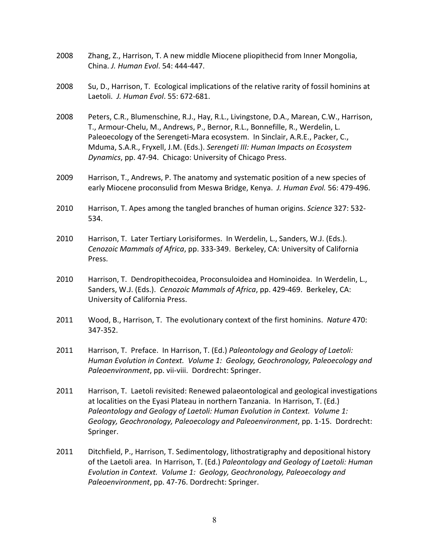| 2008 | Zhang, Z., Harrison, T. A new middle Miocene pliopithecid from Inner Mongolia,<br>China. J. Human Evol. 54: 444-447.                                                                                                                                                                                                                                                                                       |
|------|------------------------------------------------------------------------------------------------------------------------------------------------------------------------------------------------------------------------------------------------------------------------------------------------------------------------------------------------------------------------------------------------------------|
| 2008 | Su, D., Harrison, T. Ecological implications of the relative rarity of fossil hominins at<br>Laetoli. J. Human Evol. 55: 672-681.                                                                                                                                                                                                                                                                          |
| 2008 | Peters, C.R., Blumenschine, R.J., Hay, R.L., Livingstone, D.A., Marean, C.W., Harrison,<br>T., Armour-Chelu, M., Andrews, P., Bernor, R.L., Bonnefille, R., Werdelin, L.<br>Paleoecology of the Serengeti-Mara ecosystem. In Sinclair, A.R.E., Packer, C.,<br>Mduma, S.A.R., Fryxell, J.M. (Eds.). Serengeti III: Human Impacts on Ecosystem<br>Dynamics, pp. 47-94. Chicago: University of Chicago Press. |
| 2009 | Harrison, T., Andrews, P. The anatomy and systematic position of a new species of<br>early Miocene proconsulid from Meswa Bridge, Kenya. J. Human Evol. 56: 479-496.                                                                                                                                                                                                                                       |
| 2010 | Harrison, T. Apes among the tangled branches of human origins. Science 327: 532-<br>534.                                                                                                                                                                                                                                                                                                                   |
| 2010 | Harrison, T. Later Tertiary Lorisiformes. In Werdelin, L., Sanders, W.J. (Eds.).<br>Cenozoic Mammals of Africa, pp. 333-349. Berkeley, CA: University of California<br>Press.                                                                                                                                                                                                                              |
| 2010 | Harrison, T. Dendropithecoidea, Proconsuloidea and Hominoidea. In Werdelin, L.,<br>Sanders, W.J. (Eds.). Cenozoic Mammals of Africa, pp. 429-469. Berkeley, CA:<br>University of California Press.                                                                                                                                                                                                         |
| 2011 | Wood, B., Harrison, T. The evolutionary context of the first hominins. Nature 470:<br>347-352.                                                                                                                                                                                                                                                                                                             |
| 2011 | Harrison, T. Preface. In Harrison, T. (Ed.) Paleontology and Geology of Laetoli:<br>Human Evolution in Context. Volume 1: Geology, Geochronology, Paleoecology and<br>Paleoenvironment, pp. vii-viii. Dordrecht: Springer.                                                                                                                                                                                 |
| 2011 | Harrison, T. Laetoli revisited: Renewed palaeontological and geological investigations<br>at localities on the Eyasi Plateau in northern Tanzania. In Harrison, T. (Ed.)<br>Paleontology and Geology of Laetoli: Human Evolution in Context. Volume 1:<br>Geology, Geochronology, Paleoecology and Paleoenvironment, pp. 1-15. Dordrecht:<br>Springer.                                                     |
| 2011 | Ditchfield, P., Harrison, T. Sedimentology, lithostratigraphy and depositional history<br>of the Laetoli area. In Harrison, T. (Ed.) Paleontology and Geology of Laetoli: Human<br>Evolution in Context. Volume 1: Geology, Geochronology, Paleoecology and<br>Paleoenvironment, pp. 47-76. Dordrecht: Springer.                                                                                           |
|      |                                                                                                                                                                                                                                                                                                                                                                                                            |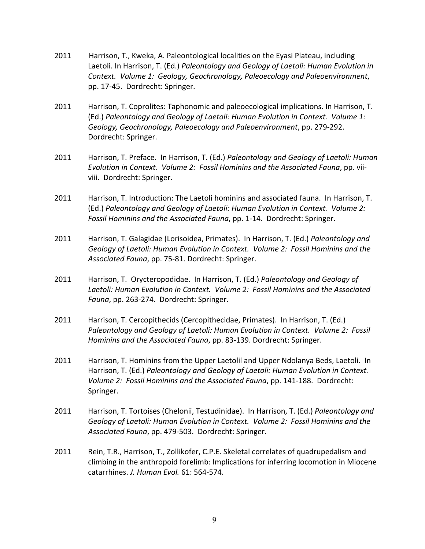- 2011 Harrison, T., Kweka, A. Paleontological localities on the Eyasi Plateau, including  Laetoli. In Harrison, T. (Ed.) *Paleontology and Geology of Laetoli: Human Evolution in Context. Volume 1: Geology, Geochronology, Paleoecology and Paleoenvironment*, pp. 17-45. Dordrecht: Springer.
- 2011 Harrison, T. Coprolites: Taphonomic and paleoecological implications. In Harrison, T.  (Ed.) *Paleontology and Geology of Laetoli: Human Evolution in Context. Volume 1: Geology, Geochronology, Paleoecology and Paleoenvironment*, pp. 279-292. Dordrecht: Springer.
- 2011 Harrison, T. Preface. In Harrison, T. (Ed.) *Paleontology and Geology of Laetoli: Human Evolution in Context. Volume 2: Fossil Hominins and the Associated Fauna*, pp. vii- viii. Dordrecht: Springer.
- 2011 Harrison, T. Introduction: The Laetoli hominins and associated fauna. In Harrison, T.  (Ed.) *Paleontology and Geology of Laetoli: Human Evolution in Context. Volume 2: Fossil Hominins and the Associated Fauna*, pp. 1-14. Dordrecht: Springer.
- 2011 Harrison, T. Galagidae (Lorisoidea, Primates). In Harrison, T. (Ed.) *Paleontology and Geology of Laetoli: Human Evolution in Context. Volume 2: Fossil Hominins and the Associated Fauna*, pp. 75-81. Dordrecht: Springer.
- 2011 Harrison, T. Orycteropodidae. In Harrison, T. (Ed.) *Paleontology and Geology of Laetoli: Human Evolution in Context. Volume 2: Fossil Hominins and the Associated* Fauna, pp. 263-274. Dordrecht: Springer.
- 2011 Harrison, T. Cercopithecids (Cercopithecidae, Primates). In Harrison, T. (Ed.)  *Paleontology and Geology of Laetoli: Human Evolution in Context. Volume 2: Fossil Hominins and the Associated Fauna*, pp. 83-139. Dordrecht: Springer.
- 2011 Harrison, T. Hominins from the Upper Laetolil and Upper Ndolanya Beds, Laetoli. In  Harrison, T. (Ed.) *Paleontology and Geology of Laetoli: Human Evolution in Context. Volume 2: Fossil Hominins and the Associated Fauna, pp. 141-188. Dordrecht:* Springer.
- 2011 Harrison, T. Tortoises (Chelonii, Testudinidae). In Harrison, T. (Ed.) *Paleontology and Geology of Laetoli: Human Evolution in Context. Volume 2: Fossil Hominins and the Associated Fauna*, pp. 479-503. Dordrecht: Springer.
- 2011 Rein, T.R., Harrison, T., Zollikofer, C.P.E. Skeletal correlates of quadrupedalism and climbing in the anthropoid forelimb: Implications for inferring locomotion in Miocene  catarrhines. *J. Human Evol.* 61: 564-574.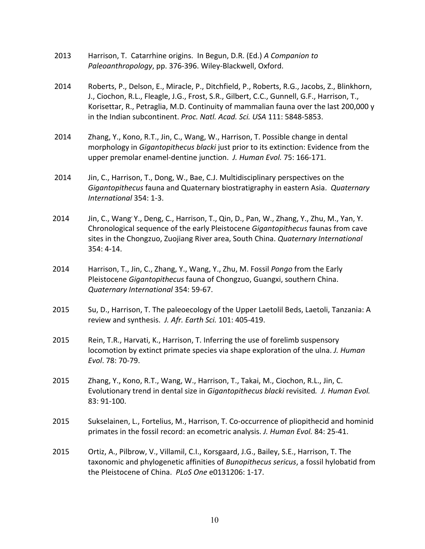- 2013 Harrison, T. Catarrhine origins. In Begun, D.R. (Ed.) *A Companion to* Paleoanthropology, pp. 376-396. Wiley-Blackwell, Oxford.
- 2014 Roberts, P., Delson, E., Miracle, P., Ditchfield, P., Roberts, R.G., Jacobs, Z., Blinkhorn, J., Ciochon, R.L., Fleagle, J.G., Frost, S.R., Gilbert, C.C., Gunnell, G.F., Harrison, T., Korisettar, R., Petraglia, M.D. Continuity of mammalian fauna over the last 200,000 y  in the Indian subcontinent. *Proc. Natl. Acad. Sci. USA* 111: 5848-5853.
- 2014 Zhang, Y., Kono, R.T., Jin, C., Wang, W., Harrison, T. Possible change in dental morphology in *Gigantopithecus blacki* just prior to its extinction: Evidence from the  upper premolar enamel-dentine junction. *J. Human Evol.* 75: 166-171.
- 2014 Jin, C., Harrison, T., Dong, W., Bae, C.J. Multidisciplinary perspectives on the *Gigantopithecus* fauna and Quaternary biostratigraphy in eastern Asia. *Quaternary International* 354: 1-3.
- 2014 Jin, C., Wang'Y., Deng, C., Harrison, T., Qin, D., Pan, W., Zhang, Y., Zhu, M., Yan, Y. Chronological sequence of the early Pleistocene *Gigantopithecus* faunas from cave sites in the Chongzuo, Zuojiang River area, South China. *Quaternary International* 354: 4-14.
- 2014 Harrison, T., Jin, C., Zhang, Y., Wang, Y., Zhu, M. Fossil Pongo from the Early Pleistocene *Gigantopithecus* fauna of Chongzuo, Guangxi, southern China. *Quaternary International* 354: 59-67.
- 2015 Su, D., Harrison, T. The paleoecology of the Upper Laetolil Beds, Laetoli, Tanzania: A  review and synthesis. *J. Afr. Earth Sci.* 101: 405-419.
- 2015 Rein, T.R., Harvati, K., Harrison, T. Inferring the use of forelimb suspensory locomotion by extinct primate species via shape exploration of the ulna. *J. Human Evol*. 78: 70-79.
- 2015 Zhang, Y., Kono, R.T., Wang, W., Harrison, T., Takai, M., Ciochon, R.L., Jin, C.  Evolutionary trend in dental size in *Gigantopithecus blacki* revisited*. J. Human Evol.* 83: 91-100.
- 2015 Sukselainen, L., Fortelius, M., Harrison, T. Co-occurrence of pliopithecid and hominid  primates in the fossil record: an ecometric analysis. *J. Human Evol.* 84: 25-41.
- 2015 Ortiz, A., Pilbrow, V., Villamil, C.I., Korsgaard, J.G., Bailey, S.E., Harrison, T. The taxonomic and phylogenetic affinities of *Bunopithecus sericus*, a fossil hylobatid from the Pleistocene of China. *PLoS One* e0131206: 1-17.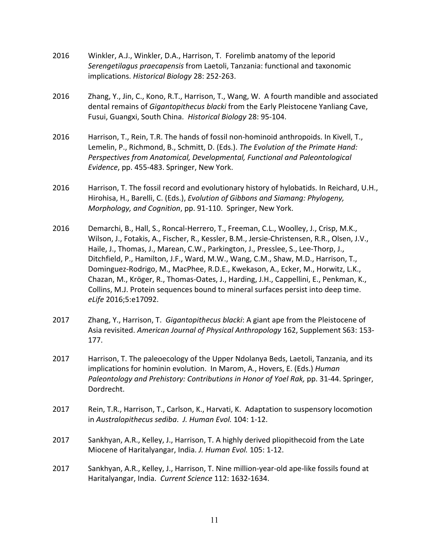- 2016 Winkler, A.J., Winkler, D.A., Harrison, T. Forelimb anatomy of the leporid *Serengetilagus praecapensis* from Laetoli, Tanzania: functional and taxonomic implications. *Historical Biology* 28: 252-263.
- 2016 Zhang, Y., Jin, C., Kono, R.T., Harrison, T., Wang, W. A fourth mandible and associated dental remains of *Gigantopithecus blacki* from the Early Pleistocene Yanliang Cave, Fusui, Guangxi, South China. *Historical Biology* 28: 95-104.
- 2016 Harrison, T., Rein, T.R. The hands of fossil non-hominoid anthropoids. In Kivell, T.,  Lemelin, P., Richmond, B., Schmitt, D. (Eds.). *The Evolution of the Primate Hand: Perspectives from Anatomical, Developmental, Functional and Paleontological Evidence*, pp. 455-483. Springer, New York.
- 2016 Harrison, T. The fossil record and evolutionary history of hylobatids. In Reichard, U.H.,  Hirohisa, H., Barelli, C. (Eds.), *Evolution of Gibbons and Siamang: Phylogeny, Morphology, and Cognition, pp. 91-110. Springer, New York.*
- 2016 Demarchi, B., Hall, S., Roncal-Herrero, T., Freeman, C.L., Woolley, J., Crisp, M.K., Wilson, J., Fotakis, A., Fischer, R., Kessler, B.M., Jersie-Christensen, R.R., Olsen, J.V., Haile, J., Thomas, J., Marean, C.W., Parkington, J., Presslee, S., Lee-Thorp, J., Ditchfield, P., Hamilton, J.F., Ward, M.W., Wang, C.M., Shaw, M.D., Harrison, T., Dominguez-Rodrigo, M., MacPhee, R.D.E., Kwekason, A., Ecker, M., Horwitz, L.K., Chazan, M., Kröger, R., Thomas-Oates, J., Harding, J.H., Cappellini, E., Penkman, K., Collins, M.J. Protein sequences bound to mineral surfaces persist into deep time. *eLife* 2016;5:e17092.
- 2017 Zhang, Y., Harrison, T. *Gigantopithecus blacki*: A giant ape from the Pleistocene of  Asia revisited. *American Journal of Physical Anthropology* 162, Supplement S63: 153- 177.
- 2017 Harrison, T. The paleoecology of the Upper Ndolanya Beds, Laetoli, Tanzania, and its implications for hominin evolution. In Marom, A., Hovers, E. (Eds.) *Human Paleontology and Prehistory: Contributions in Honor of Yoel Rak,* pp. 31-44. Springer, Dordrecht.
- 2017 Rein, T.R., Harrison, T., Carlson, K., Harvati, K. Adaptation to suspensory locomotion  in *Australopithecus sediba*. *J. Human Evol.* 104: 1-12.
- 2017 Sankhyan, A.R., Kelley, J., Harrison, T. A highly derived pliopithecoid from the Late  Miocene of Haritalyangar, India. *J. Human Evol.* 105: 1-12.
- 2017 Sankhyan, A.R., Kelley, J., Harrison, T. Nine million-year-old ape-like fossils found at Haritalyangar, India. Current Science 112: 1632-1634.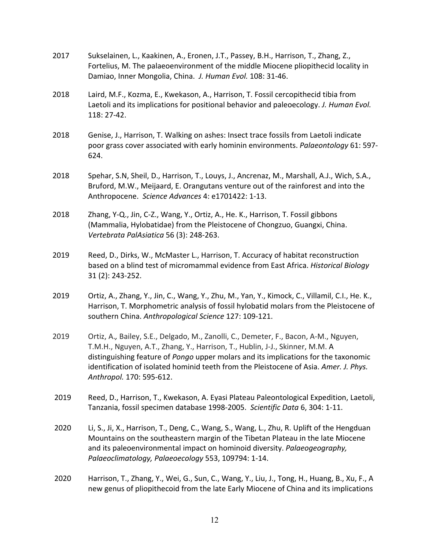| 2017 | Sukselainen, L., Kaakinen, A., Eronen, J.T., Passey, B.H., Harrison, T., Zhang, Z.,<br>Fortelius, M. The palaeoenvironment of the middle Miocene pliopithecid locality in<br>Damiao, Inner Mongolia, China. J. Human Evol. 108: 31-46.                                                                                                                                           |
|------|----------------------------------------------------------------------------------------------------------------------------------------------------------------------------------------------------------------------------------------------------------------------------------------------------------------------------------------------------------------------------------|
| 2018 | Laird, M.F., Kozma, E., Kwekason, A., Harrison, T. Fossil cercopithecid tibia from<br>Laetoli and its implications for positional behavior and paleoecology. J. Human Evol.<br>118: 27-42.                                                                                                                                                                                       |
| 2018 | Genise, J., Harrison, T. Walking on ashes: Insect trace fossils from Laetoli indicate<br>poor grass cover associated with early hominin environments. Palaeontology 61: 597-<br>624.                                                                                                                                                                                             |
| 2018 | Spehar, S.N, Sheil, D., Harrison, T., Louys, J., Ancrenaz, M., Marshall, A.J., Wich, S.A.,<br>Bruford, M.W., Meijaard, E. Orangutans venture out of the rainforest and into the<br>Anthropocene. Science Advances 4: e1701422: 1-13.                                                                                                                                             |
| 2018 | Zhang, Y-Q., Jin, C-Z., Wang, Y., Ortiz, A., He. K., Harrison, T. Fossil gibbons<br>(Mammalia, Hylobatidae) from the Pleistocene of Chongzuo, Guangxi, China.<br>Vertebrata PalAsiatica 56 (3): 248-263.                                                                                                                                                                         |
| 2019 | Reed, D., Dirks, W., McMaster L., Harrison, T. Accuracy of habitat reconstruction<br>based on a blind test of micromammal evidence from East Africa. Historical Biology<br>31 (2): 243-252.                                                                                                                                                                                      |
| 2019 | Ortiz, A., Zhang, Y., Jin, C., Wang, Y., Zhu, M., Yan, Y., Kimock, C., Villamil, C.I., He. K.,<br>Harrison, T. Morphometric analysis of fossil hylobatid molars from the Pleistocene of<br>southern China. Anthropological Science 127: 109-121.                                                                                                                                 |
| 2019 | Ortiz, A., Bailey, S.E., Delgado, M., Zanolli, C., Demeter, F., Bacon, A-M., Nguyen,<br>T.M.H., Nguyen, A.T., Zhang, Y., Harrison, T., Hublin, J-J., Skinner, M.M. A<br>distinguishing feature of Pongo upper molars and its implications for the taxonomic<br>identification of isolated hominid teeth from the Pleistocene of Asia. Amer. J. Phys.<br>Anthropol. 170: 595-612. |
| 2019 | Reed, D., Harrison, T., Kwekason, A. Eyasi Plateau Paleontological Expedition, Laetoli,<br>Tanzania, fossil specimen database 1998-2005. Scientific Data 6, 304: 1-11.                                                                                                                                                                                                           |
| 2020 | Li, S., Ji, X., Harrison, T., Deng, C., Wang, S., Wang, L., Zhu, R. Uplift of the Hengduan<br>Mountains on the southeastern margin of the Tibetan Plateau in the late Miocene<br>and its paleoenvironmental impact on hominoid diversity. Palaeogeography,<br>Palaeoclimatology, Palaeoecology 553, 109794: 1-14.                                                                |

 2020 Harrison, T., Zhang, Y., Wei, G., Sun, C., Wang, Y., Liu, J., Tong, H., Huang, B., Xu, F., A new genus of pliopithecoid from the late Early Miocene of China and its implications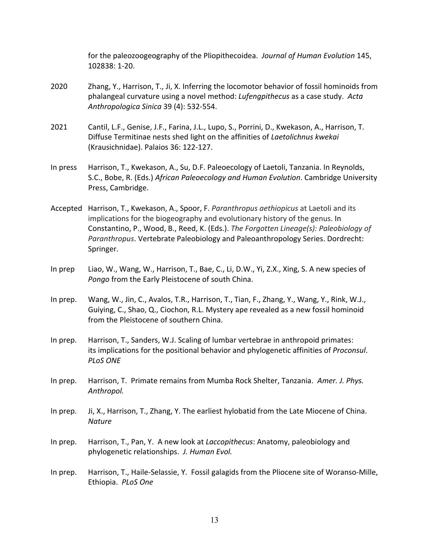for the paleozoogeography of the Pliopithecoidea. *Journal of Human Evolution* 145, 102838: 1-20.

- 2020 Zhang, Y., Harrison, T., Ji, X. Inferring the locomotor behavior of fossil hominoids from phalangeal curvature using a novel method: *Lufengpithecus* as a case study. *Acta Anthropologica Sinica* 39 (4): 532-554.
- 2021 Cantil, L.F., Genise, J.F., Farina, J.L., Lupo, S., Porrini, D., Kwekason, A., Harrison, T.  Diffuse Termitinae nests shed light on the affinities of *Laetolichnus kwekai* (Krausichnidae). Palaios 36: 122-127.
- In press Harrison, T., Kwekason, A., Su, D.F. Paleoecology of Laetoli, Tanzania. In Reynolds,  S.C., Bobe, R. (Eds.) *African Paleoecology and Human Evolution*. Cambridge University Press, Cambridge.
- Accepted Harrison, T., Kwekason, A., Spoor, F. Paranthropus aethiopicus at Laetoli and its implications for the biogeography and evolutionary history of the genus. In  Constantino, P., Wood, B., Reed, K. (Eds.). *The Forgotten Lineage(s): Paleobiology of Paranthropus*. Vertebrate Paleobiology and Paleoanthropology Series. Dordrecht: Springer.
- In prep Liao, W., Wang, W., Harrison, T., Bae, C., Li, D.W., Yi, Z.X., Xing, S. A new species of *Pongo* from the Early Pleistocene of south China.
- In prep. Wang, W., Jin, C., Avalos, T.R., Harrison, T., Tian, F., Zhang, Y., Wang, Y., Rink, W.J., Guiying, C., Shao, Q., Ciochon, R.L. Mystery ape revealed as a new fossil hominoid from the Pleistocene of southern China.
- In prep. Harrison, T., Sanders, W.J. Scaling of lumbar vertebrae in anthropoid primates: its implications for the positional behavior and phylogenetic affinities of *Proconsul*. *PLoS ONE*
- In prep. Harrison, T. Primate remains from Mumba Rock Shelter, Tanzania. *Amer. J. Phys. Anthropol.*
- In prep. Ji, X., Harrison, T., Zhang, Y. The earliest hylobatid from the Late Miocene of China. *Nature*
- In prep. Harrison, T., Pan, Y. A new look at *Laccopithecus*: Anatomy, paleobiology and  phylogenetic relationships. *J. Human Evol.*
- In prep. Harrison, T., Haile-Selassie, Y. Fossil galagids from the Pliocene site of Woranso-Mille, Ethiopia. *PLoS One*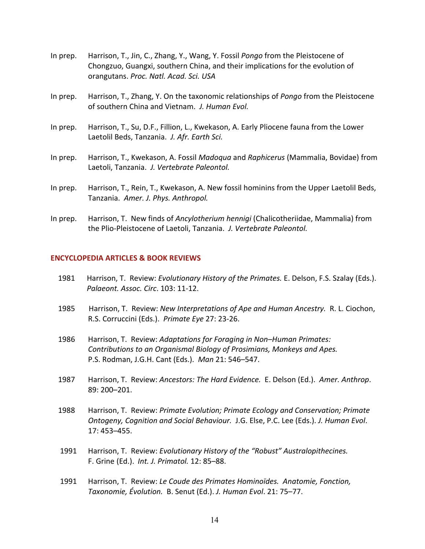- In prep. Harrison, T., Jin, C., Zhang, Y., Wang, Y. Fossil Pongo from the Pleistocene of Chongzuo, Guangxi, southern China, and their implications for the evolution of  orangutans. *Proc. Natl. Acad. Sci. USA*
- In prep. Harrison, T., Zhang, Y. On the taxonomic relationships of *Pongo* from the Pleistocene  of southern China and Vietnam. *J. Human Evol.*
- In prep. Harrison, T., Su, D.F., Fillion, L., Kwekason, A. Early Pliocene fauna from the Lower  Laetolil Beds, Tanzania. *J. Afr. Earth Sci.*
- In prep. Harrison, T., Kwekason, A. Fossil *Madoqua* and *Raphicerus* (Mammalia, Bovidae) from  Laetoli, Tanzania. *J. Vertebrate Paleontol.*
- In prep. Harrison, T., Rein, T., Kwekason, A. New fossil hominins from the Upper Laetolil Beds,  Tanzania. *Amer. J. Phys. Anthropol.*
- In prep. Harrison, T. New finds of *Ancylotherium hennigi* (Chalicotheriidae, Mammalia) from  the Plio-Pleistocene of Laetoli, Tanzania. *J. Vertebrate Paleontol.*

## **ENCYCLOPEDIA ARTICLES & BOOK REVIEWS**

- 1981 Harrison, T. Review: *Evolutionary History of the Primates.* E. Delson, F.S. Szalay (Eds.).  *Palaeont. Assoc. Circ*. 103: 11-12.
- 1985 Harrison, T. Review: *New Interpretations of Ape and Human Ancestry.* R. L. Ciochon, R.S. Corruccini (Eds.). *Primate Eye* 27: 23-26.
- 1986 Harrison, T. Review: *Adaptations for Foraging in Non–Human Primates: Contributions to an Organismal Biology of Prosimians, Monkeys and Apes.* P.S. Rodman, J.G.H. Cant (Eds.). *Man* 21: 546–547.
- 1987 Harrison, T. Review: *Ancestors: The Hard Evidence.* E. Delson (Ed.). *Amer. Anthrop*. 89: 200–201.
- 1988 Harrison, T. Review: *Primate Evolution; Primate Ecology and Conservation; Primate Ontogeny, Cognition and Social Behaviour.* J.G. Else, P.C. Lee (Eds.). *J. Human Evol*. 17: 453–455.
- 1991 Harrison, T. Review: *Evolutionary History of the "Robust" Australopithecines.*  F. Grine (Ed.). *Int. J. Primatol.* 12: 85–88.
- 1991 Harrison, T. Review: *Le Coude des Primates Hominoïdes. Anatomie, Fonction, Taxonomie, Évolution.* B. Senut (Ed.). *J. Human Evol.* 21: 75–77.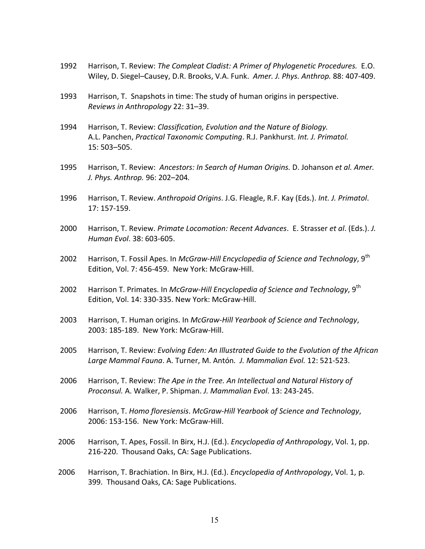- 1992 Harrison, T. Review: *The Compleat Cladist: A Primer of Phylogenetic Procedures.* E.O. Wiley, D. Siegel-Causey, D.R. Brooks, V.A. Funk. Amer. J. Phys. Anthrop. 88: 407-409.
- 1993 Harrison, T. Snapshots in time: The study of human origins in perspective.  *Reviews in Anthropology* 22: 31–39.
- 1994 Harrison, T. Review: *Classification, Evolution and the Nature of Biology.*  A.L. Panchen, *Practical Taxonomic Computing*. R.J. Pankhurst. *Int. J. Primatol.* 15: 503–505.
- 1995 Harrison, T. Review: *Ancestors: In Search of Human Origins.* D. Johanson *et al. Amer. J. Phys. Anthrop.* 96: 202–204*.*
- 1996 Harrison, T. Review. *Anthropoid Origins*. J.G. Fleagle, R.F. Kay (Eds.). *Int. J. Primatol*. 17: 157-159.
- 2000 Harrison, T. Review. *Primate Locomotion: Recent Advances*. E. Strasser et al. (Eds.). J. *Human Evol*. 38: 603-605.
- 2002 Harrison, T. Fossil Apes. In *McGraw-Hill Encyclopedia of Science and Technology*, 9th Edition, Vol. 7: 456-459. New York: McGraw-Hill.
- 2002 Harrison T. Primates. In *McGraw-Hill Encyclopedia of Science and Technology*, 9<sup>th</sup> Edition, Vol. 14: 330-335. New York: McGraw-Hill.
- 2003 Harrison, T. Human origins. In *McGraw-Hill Yearbook of Science and Technology*, 2003: 185-189. New York: McGraw-Hill.
- 2005 Harrison, T. Review: *Evolving Eden: An Illustrated Guide to the Evolution of the African Large Mammal Fauna*. A. Turner, M. Antón*. J. Mammalian Evol.* 12: 521-523.
- 2006 Harrison, T. Review: *The Ape in the Tree. An Intellectual and Natural History of Proconsul.* A. Walker, P. Shipman. *J. Mammalian Evol*. 13: 243-245.
- 2006 Harrison, T. *Homo floresiensis*. *McGraw-Hill Yearbook of Science and Technology*, 2006: 153-156. New York: McGraw-Hill.
- 2006 Harrison, T. Apes, Fossil. In Birx, H.J. (Ed.). *Encyclopedia of Anthropology*, Vol. 1, pp. 216-220. Thousand Oaks, CA: Sage Publications.
- 2006 Harrison, T. Brachiation. In Birx, H.J. (Ed.). *Encyclopedia of Anthropology*, Vol. 1, p. 399. Thousand Oaks, CA: Sage Publications.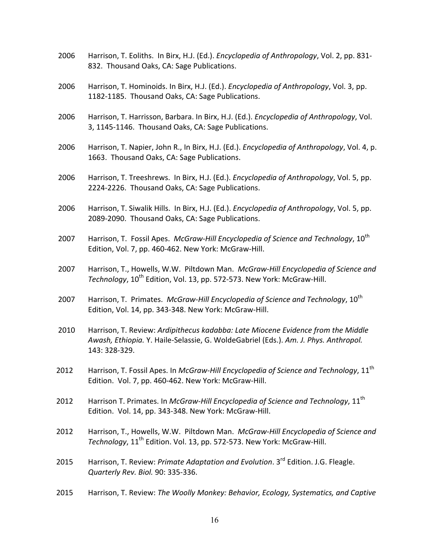- 2006 Harrison, T. Eoliths. In Birx, H.J. (Ed.). *Encyclopedia of Anthropology*, Vol. 2, pp. 831- 832. Thousand Oaks, CA: Sage Publications.
- 2006 Harrison, T. Hominoids. In Birx, H.J. (Ed.). *Encyclopedia of Anthropology*, Vol. 3, pp. 1182-1185. Thousand Oaks, CA: Sage Publications.
- 2006 Harrison, T. Harrisson, Barbara. In Birx, H.J. (Ed.). *Encyclopedia of Anthropology*, Vol. 3, 1145-1146. Thousand Oaks, CA: Sage Publications.
- 2006 Harrison, T. Napier, John R., In Birx, H.J. (Ed.). *Encyclopedia of Anthropology*, Vol. 4, p. 1663. Thousand Oaks, CA: Sage Publications.
- 2006 Harrison, T. Treeshrews. In Birx, H.J. (Ed.). *Encyclopedia of Anthropology*, Vol. 5, pp. 2224-2226. Thousand Oaks, CA: Sage Publications.
- 2006 Harrison, T. Siwalik Hills. In Birx, H.J. (Ed.). *Encyclopedia of Anthropology*, Vol. 5, pp. 2089-2090. Thousand Oaks, CA: Sage Publications.
- 2007 Harrison, T. Fossil Apes. McGraw-Hill *Encyclopedia of Science and Technology*, 10<sup>th</sup> Edition, Vol. 7, pp. 460-462. New York: McGraw-Hill.
- 2007 Harrison, T., Howells, W.W. Piltdown Man. *McGraw-Hill Encyclopedia of Science and* Technology, 10<sup>th</sup> Edition, Vol. 13, pp. 572-573. New York: McGraw-Hill.
- 2007 Harrison, T. Primates. *McGraw-Hill Encyclopedia of Science and Technology*, 10<sup>th</sup> Edition, Vol. 14, pp. 343-348. New York: McGraw-Hill.
- 2010 Harrison, T. Review: *Ardipithecus kadabba: Late Miocene Evidence from the Middle Awash, Ethiopia.* Y. Haile-Selassie, G. WoldeGabriel (Eds.). *Am. J. Phys. Anthropol.* 143: 328-329.
- 2012 Harrison, T. Fossil Apes. In *McGraw-Hill Encyclopedia of Science and Technology*, 11<sup>th</sup> Edition. Vol. 7, pp. 460-462. New York: McGraw-Hill.
- 2012 Harrison T. Primates. In *McGraw-Hill Encyclopedia of Science and Technology*, 11<sup>th</sup> Edition. Vol. 14, pp. 343-348. New York: McGraw-Hill.
- 2012 Harrison, T., Howells, W.W. Piltdown Man. *McGraw-Hill Encyclopedia of Science and* Technology, 11<sup>th</sup> Edition. Vol. 13, pp. 572-573. New York: McGraw-Hill.
- 2015 Harrison, T. Review: *Primate Adaptation and Evolution*. 3<sup>rd</sup> Edition. J.G. Fleagle.  *Quarterly Rev. Biol.* 90: 335-336.
- 2015 Harrison, T. Review: *The Woolly Monkey: Behavior, Ecology, Systematics, and Captive*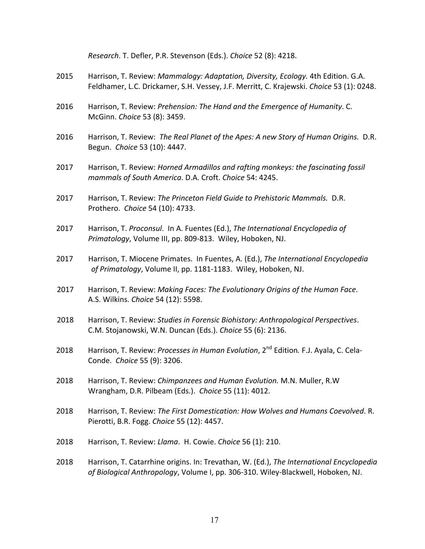|      | Research. T. Defler, P.R. Stevenson (Eds.). Choice 52 (8): 4218.                                                                                                              |
|------|-------------------------------------------------------------------------------------------------------------------------------------------------------------------------------|
| 2015 | Harrison, T. Review: Mammalogy: Adaptation, Diversity, Ecology. 4th Edition. G.A.<br>Feldhamer, L.C. Drickamer, S.H. Vessey, J.F. Merritt, C. Krajewski. Choice 53 (1): 0248. |
| 2016 | Harrison, T. Review: Prehension: The Hand and the Emergence of Humanity. C.<br>McGinn. Choice 53 (8): 3459.                                                                   |
| 2016 | Harrison, T. Review: The Real Planet of the Apes: A new Story of Human Origins. D.R.<br>Begun. Choice 53 (10): 4447.                                                          |
| 2017 | Harrison, T. Review: Horned Armadillos and rafting monkeys: the fascinating fossil<br>mammals of South America. D.A. Croft. Choice 54: 4245.                                  |
| 2017 | Harrison, T. Review: The Princeton Field Guide to Prehistoric Mammals. D.R.<br>Prothero. Choice 54 (10): 4733.                                                                |
| 2017 | Harrison, T. Proconsul. In A. Fuentes (Ed.), The International Encyclopedia of<br>Primatology, Volume III, pp. 809-813. Wiley, Hoboken, NJ.                                   |
| 2017 | Harrison, T. Miocene Primates. In Fuentes, A. (Ed.), The International Encyclopedia<br>of Primatology, Volume II, pp. 1181-1183. Wiley, Hoboken, NJ.                          |
| 2017 | Harrison, T. Review: Making Faces: The Evolutionary Origins of the Human Face.<br>A.S. Wilkins. Choice 54 (12): 5598.                                                         |
| 2018 | Harrison, T. Review: Studies in Forensic Biohistory: Anthropological Perspectives.<br>C.M. Stojanowski, W.N. Duncan (Eds.). Choice 55 (6): 2136.                              |
| 2018 | Harrison, T. Review: Processes in Human Evolution, 2 <sup>nd</sup> Edition. F.J. Ayala, C. Cela-<br>Conde. Choice 55 (9): 3206.                                               |
| 2018 | Harrison, T. Review: Chimpanzees and Human Evolution. M.N. Muller, R.W<br>Wrangham, D.R. Pilbeam (Eds.). Choice 55 (11): 4012.                                                |
| 2018 | Harrison, T. Review: The First Domestication: How Wolves and Humans Coevolved. R.<br>Pierotti, B.R. Fogg. Choice 55 (12): 4457.                                               |
| 2018 | Harrison, T. Review: Llama. H. Cowie. Choice 56 (1): 210.                                                                                                                     |
| 2018 | Harrison, T. Catarrhine origins. In: Trevathan, W. (Ed.), The International Encyclopedia<br>of Biological Anthropology, Volume I, pp. 306-310. Wiley-Blackwell, Hoboken, NJ.  |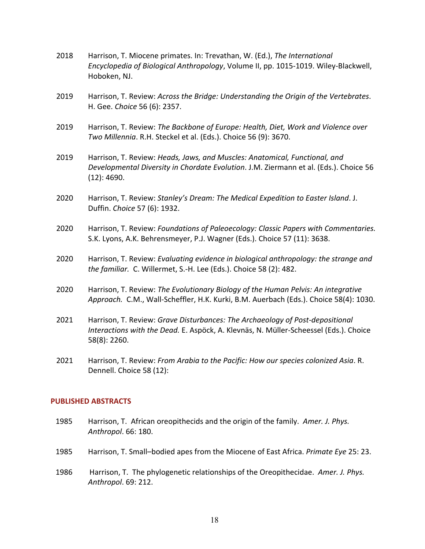- 2018 Harrison, T. Miocene primates. In: Trevathan, W. (Ed.), *The International Encyclopedia of Biological Anthropology*, Volume II, pp. 1015-1019. Wiley-Blackwell, Hoboken, NJ.
- 2019 Harrison, T. Review: *Across the Bridge: Understanding the Origin of the Vertebrates*. H. Gee. *Choice* 56 (6): 2357.
- 2019 Harrison, T. Review: *The Backbone of Europe: Health, Diet, Work and Violence over Two Millennia*. R.H. Steckel et al. (Eds.). Choice 56 (9): 3670.
- 2019 Harrison, T. Review: *Heads, Jaws, and Muscles: Anatomical, Functional, and Developmental Diversity in Chordate Evolution. J.M. Ziermann et al. (Eds.). Choice 56*  (12): 4690.
- 2020 Harrison, T. Review: *Stanley's Dream: The Medical Expedition to Easter Island*. J. Duffin. *Choice* 57 (6): 1932.
- 2020 Harrison, T. Review: *Foundations of Paleoecology: Classic Papers with Commentaries.* S.K. Lyons, A.K. Behrensmeyer, P.J. Wagner (Eds.). Choice 57 (11): 3638.
- 2020 Harrison, T. Review: *Evaluating evidence in biological anthropology: the strange and the familiar.* C. Willermet, S.-H. Lee (Eds.). Choice 58 (2): 482.
- 2020 Harrison, T. Review: *The Evolutionary Biology of the Human Pelvis: An integrative* Approach. C.M., Wall-Scheffler, H.K. Kurki, B.M. Auerbach (Eds.). Choice 58(4): 1030.
- 2021 Harrison, T. Review: *Grave Disturbances: The Archaeology of Post-depositional Interactions with the Dead.* E. Aspöck, A. Klevnäs, N. Müller-Scheessel (Eds.). Choice 58(8): 2260.
- 2021 Harrison, T. Review: *From Arabia to the Pacific: How our species colonized Asia*. R. Dennell. Choice 58 (12):

### **PUBLISHED ABSTRACTS**

- 1985 Harrison, T. African oreopithecids and the origin of the family. *Amer. J. Phys. Anthropol*. 66: 180.
- 1985 Harrison, T. Small–bodied apes from the Miocene of East Africa. *Primate Eye* 25: 23.
- 1986 Harrison, T. The phylogenetic relationships of the Oreopithecidae. *Amer. J. Phys. Anthropol*. 69: 212.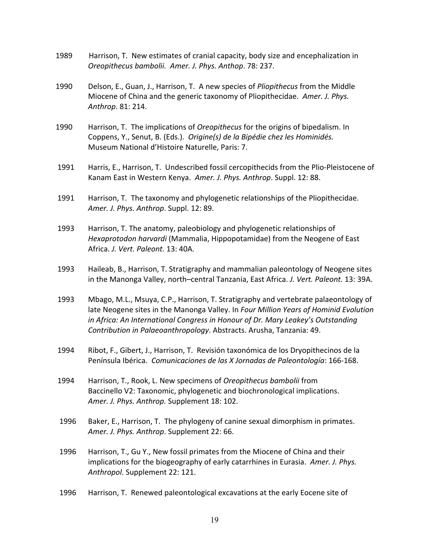- 1989 Harrison, T. New estimates of cranial capacity, body size and encephalization in  *Oreopithecus bambolii. Amer. J. Phys. Anthop*. 78: 237.
- 1990 Delson, E., Guan, J., Harrison, T. A new species of *Pliopithecus* from the Middle  Miocene of China and the generic taxonomy of Pliopithecidae. *Amer. J. Phys. Anthrop*. 81: 214.
- 1990 Harrison, T. The implications of *Oreopithecus* for the origins of bipedalism. In  Coppens, Y., Senut, B. (Eds.). *Origine(s) de la Bipédie chez les Hominidés.* Museum National d'Histoire Naturelle, Paris: 7.
- 1991 Harris, E., Harrison, T. Undescribed fossil cercopithecids from the Plio-Pleistocene of Kanam East in Western Kenya. Amer. J. Phys. Anthrop. Suppl. 12: 88.
- 1991 Harrison, T. The taxonomy and phylogenetic relationships of the Pliopithecidae.  *Amer. J. Phys. Anthrop*. Suppl. 12: 89.
- 1993 Harrison, T. The anatomy, paleobiology and phylogenetic relationships of *Hexaprotodon harvardi* (Mammalia, Hippopotamidae) from the Neogene of East  Africa. *J. Vert. Paleont.* 13: 40A.
- 1993 Haileab, B., Harrison, T. Stratigraphy and mammalian paleontology of Neogene sites in the Manonga Valley, north–central Tanzania, East Africa. *J. Vert. Paleont.* 13: 39A.
- 1993 Mbago, M.L., Msuya, C.P., Harrison, T. Stratigraphy and vertebrate palaeontology of  late Neogene sites in the Manonga Valley. In *Four Million Years of Hominid Evolution in Africa: An International Congress in Honour of Dr. Mary Leakey's Outstanding Contribution in Palaeoanthropology*. Abstracts. Arusha, Tanzania: 49.
- 1994 Ribot, F., Gibert, J., Harrison, T. Revisión taxonómica de los Dryopithecinos de la  Península Ibérica. *Comunicaciones de las X Jornadas de Paleontología*: 166-168.
- 1994 Harrison, T., Rook, L. New specimens of *Oreopithecus bambolii* from Baccinello V2: Taxonomic, phylogenetic and biochronological implications.  *Amer. J. Phys. Anthrop.* Supplement 18: 102.
- 1996 Baker, E., Harrison, T. The phylogeny of canine sexual dimorphism in primates.  *Amer. J. Phys. Anthrop*. Supplement 22: 66.
- 1996 Harrison, T., Gu Y., New fossil primates from the Miocene of China and their  implications for the biogeography of early catarrhines in Eurasia. *Amer. J. Phys. Anthropol*. Supplement 22: 121.
- 1996 Harrison, T. Renewed paleontological excavations at the early Eocene site of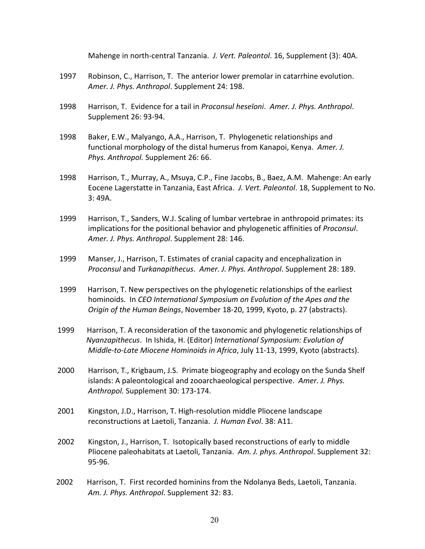*Mahenge in north-central Tanzania. J. Vert. Paleontol.* 16, Supplement (3): 40A.

- 1997 Robinson, C., Harrison, T. The anterior lower premolar in catarrhine evolution.  *Amer. J. Phys. Anthropol*. Supplement 24: 198.
- 1998 Harrison, T. Evidence for a tail in *Proconsul heseloni*. *Amer. J. Phys. Anthropol*. Supplement 26: 93-94.
- 1998 Baker, E.W., Malyango, A.A., Harrison, T. Phylogenetic relationships and  functional morphology of the distal humerus from Kanapoi, Kenya. *Amer. J. Phys. Anthropol.* Supplement 26: 66.
- 1998 Harrison, T., Murray, A., Msuya, C.P., Fine Jacobs, B., Baez, A.M. Mahenge: An early Eocene Lagerstatte in Tanzania, East Africa. *J. Vert. Paleontol*. 18, Supplement to No. 3: 49A.
- 1999 Harrison, T., Sanders, W.J. Scaling of lumbar vertebrae in anthropoid primates: its implications for the positional behavior and phylogenetic affinities of *Proconsul*.  *Amer. J. Phys. Anthropol*. Supplement 28: 146.
- 1999 Manser, J., Harrison, T. Estimates of cranial capacity and encephalization in *Proconsul* and *Turkanapithecus. Amer. J. Phys. Anthropol.* Supplement 28: 189.
- 1999 Harrison, T. New perspectives on the phylogenetic relationships of the earliest  hominoids. In *CEO International Symposium on Evolution of the Apes and the Origin of the Human Beings,* November 18-20, 1999, Kyoto, p. 27 (abstracts).
- 1999 Harrison, T. A reconsideration of the taxonomic and phylogenetic relationships of  *Nyanzapithecus*. In Ishida, H. (Editor) *International Symposium: Evolution of Middle-to-Late Miocene Hominoids in Africa,* July 11-13, 1999, Kyoto (abstracts).
- 2000 Harrison, T., Krigbaum, J.S. Primate biogeography and ecology on the Sunda Shelf  islands: A paleontological and zooarchaeological perspective. *Amer. J. Phys. Anthropol.* Supplement 30: 173-174.
- 2001 Kingston, J.D., Harrison, T. High-resolution middle Pliocene landscape  reconstructions at Laetoli, Tanzania. *J. Human Evol*. 38: A11.
- 2002 Kingston, J., Harrison, T. Isotopically based reconstructions of early to middle  Pliocene paleohabitats at Laetoli, Tanzania. *Am. J. phys. Anthropol*. Supplement 32: 95-96.
- 2002 Harrison, T. First recorded hominins from the Ndolanya Beds, Laetoli, Tanzania. *Am. J. Phys. Anthropol.* Supplement 32: 83.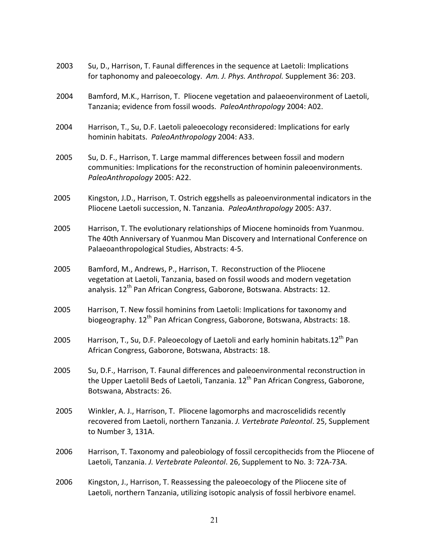| 2003 | Su, D., Harrison, T. Faunal differences in the sequence at Laetoli: Implications<br>for taphonomy and paleoecology. Am. J. Phys. Anthropol. Supplement 36: 203.                                                                              |
|------|----------------------------------------------------------------------------------------------------------------------------------------------------------------------------------------------------------------------------------------------|
| 2004 | Bamford, M.K., Harrison, T. Pliocene vegetation and palaeoenvironment of Laetoli,<br>Tanzania; evidence from fossil woods. PaleoAnthropology 2004: A02.                                                                                      |
| 2004 | Harrison, T., Su, D.F. Laetoli paleoecology reconsidered: Implications for early<br>hominin habitats. PaleoAnthropology 2004: A33.                                                                                                           |
| 2005 | Su, D. F., Harrison, T. Large mammal differences between fossil and modern<br>communities: Implications for the reconstruction of hominin paleoenvironments.<br>PaleoAnthropology 2005: A22.                                                 |
| 2005 | Kingston, J.D., Harrison, T. Ostrich eggshells as paleoenvironmental indicators in the<br>Pliocene Laetoli succession, N. Tanzania. PaleoAnthropology 2005: A37.                                                                             |
| 2005 | Harrison, T. The evolutionary relationships of Miocene hominoids from Yuanmou.<br>The 40th Anniversary of Yuanmou Man Discovery and International Conference on<br>Palaeoanthropological Studies, Abstracts: 4-5.                            |
| 2005 | Bamford, M., Andrews, P., Harrison, T. Reconstruction of the Pliocene<br>vegetation at Laetoli, Tanzania, based on fossil woods and modern vegetation<br>analysis. 12 <sup>th</sup> Pan African Congress, Gaborone, Botswana. Abstracts: 12. |
| 2005 | Harrison, T. New fossil hominins from Laetoli: Implications for taxonomy and<br>biogeography. 12 <sup>th</sup> Pan African Congress, Gaborone, Botswana, Abstracts: 18.                                                                      |
| 2005 | Harrison, T., Su, D.F. Paleoecology of Laetoli and early hominin habitats.12 <sup>th</sup> Pan<br>African Congress, Gaborone, Botswana, Abstracts: 18.                                                                                       |
| 2005 | Su, D.F., Harrison, T. Faunal differences and paleoenvironmental reconstruction in<br>the Upper Laetolil Beds of Laetoli, Tanzania. 12 <sup>th</sup> Pan African Congress, Gaborone,<br>Botswana, Abstracts: 26.                             |
| 2005 | Winkler, A. J., Harrison, T. Pliocene lagomorphs and macroscelidids recently<br>recovered from Laetoli, northern Tanzania. J. Vertebrate Paleontol. 25, Supplement<br>to Number 3, 131A.                                                     |
| 2006 | Harrison, T. Taxonomy and paleobiology of fossil cercopithecids from the Pliocene of<br>Laetoli, Tanzania. J. Vertebrate Paleontol. 26, Supplement to No. 3: 72A-73A.                                                                        |
| 2006 | Kingston, J., Harrison, T. Reassessing the paleoecology of the Pliocene site of<br>Laetoli, northern Tanzania, utilizing isotopic analysis of fossil herbivore enamel.                                                                       |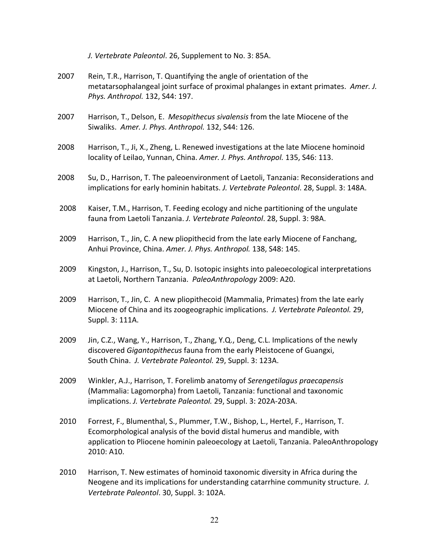- *J. Vertebrate Paleontol.* 26, Supplement to No. 3: 85A.
- 2007 Rein, T.R., Harrison, T. Quantifying the angle of orientation of the metatarsophalangeal joint surface of proximal phalanges in extant primates. Amer. J.  *Phys. Anthropol.* 132, S44: 197.
- 2007 Harrison, T., Delson, E. Mesopithecus sivalensis from the late Miocene of the  Siwaliks. *Amer. J. Phys. Anthropol.* 132, S44: 126.
- 2008 Harrison, T., Ji, X., Zheng, L. Renewed investigations at the late Miocene hominoid  locality of Leilao, Yunnan, China. *Amer. J. Phys. Anthropol.* 135, S46: 113.
- 2008 Su, D., Harrison, T. The paleoenvironment of Laetoli, Tanzania: Reconsiderations and  implications for early hominin habitats. *J. Vertebrate Paleontol*. 28, Suppl. 3: 148A.
- 2008 Kaiser, T.M., Harrison, T. Feeding ecology and niche partitioning of the ungulate  fauna from Laetoli Tanzania. *J. Vertebrate Paleontol*. 28, Suppl. 3: 98A.
- 2009 Harrison, T., Jin, C. A new pliopithecid from the late early Miocene of Fanchang,  Anhui Province, China. *Amer. J. Phys. Anthropol.* 138, S48: 145.
- 2009 Kingston, J., Harrison, T., Su, D. Isotopic insights into paleoecological interpretations at Laetoli, Northern Tanzania. PaleoAnthropology 2009: A20.
- 2009 Harrison, T., Jin, C. A new pliopithecoid (Mammalia, Primates) from the late early Miocene of China and its zoogeographic implications. *J. Vertebrate Paleontol.* 29, Suppl. 3: 111A.
- 2009 Jin, C.Z., Wang, Y., Harrison, T., Zhang, Y.Q., Deng, C.L. Implications of the newly discovered *Gigantopithecus* fauna from the early Pleistocene of Guangxi,  South China. *J. Vertebrate Paleontol.* 29, Suppl. 3: 123A.
- 2009 Winkler, A.J., Harrison, T. Forelimb anatomy of *Serengetilagus praecapensis* (Mammalia: Lagomorpha) from Laetoli, Tanzania: functional and taxonomic  implications. *J. Vertebrate Paleontol.* 29, Suppl. 3: 202A-203A.
- 2010 Forrest, F., Blumenthal, S., Plummer, T.W., Bishop, L., Hertel, F., Harrison, T. Ecomorphological analysis of the bovid distal humerus and mandible, with application to Pliocene hominin paleoecology at Laetoli, Tanzania. PaleoAnthropology 2010: A10.
- 2010 Harrison, T. New estimates of hominoid taxonomic diversity in Africa during the Neogene and its implications for understanding catarrhine community structure. *J. Vertebrate Paleontol*. 30, Suppl. 3: 102A.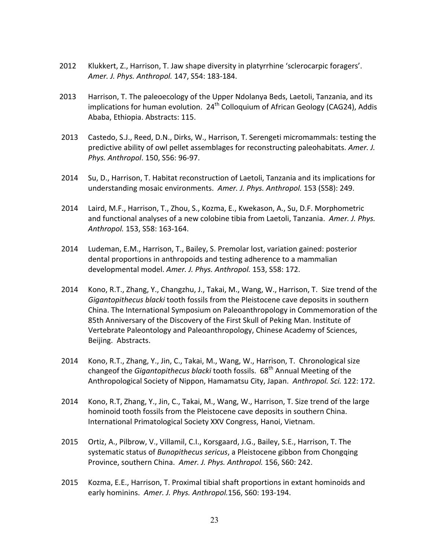- 2012 Klukkert, Z., Harrison, T. Jaw shape diversity in platyrrhine 'sclerocarpic foragers'.  *Amer. J. Phys. Anthropol.* 147, S54: 183-184.
- 2013 Harrison, T. The paleoecology of the Upper Ndolanya Beds, Laetoli, Tanzania, and its implications for human evolution.  $24^{th}$  Colloquium of African Geology (CAG24), Addis Ababa, Ethiopia. Abstracts: 115.
- 2013 Castedo, S.J., Reed, D.N., Dirks, W., Harrison, T. Serengeti micromammals: testing the predictive ability of owl pellet assemblages for reconstructing paleohabitats. Amer. J. *Phys. Anthropol*. 150, S56: 96-97.
- 2014 Su, D., Harrison, T. Habitat reconstruction of Laetoli, Tanzania and its implications for  understanding mosaic environments. *Amer. J. Phys. Anthropol.* 153 (S58): 249.
- 2014 Laird, M.F., Harrison, T., Zhou, S., Kozma, E., Kwekason, A., Su, D.F. Morphometric  and functional analyses of a new colobine tibia from Laetoli, Tanzania. *Amer. J. Phys. Anthropol.* 153, S58: 163-164.
- 2014 Ludeman, E.M., Harrison, T., Bailey, S. Premolar lost, variation gained: posterior dental proportions in anthropoids and testing adherence to a mammalian  developmental model. *Amer. J. Phys. Anthropol.* 153, S58: 172.
- 2014 Kono, R.T., Zhang, Y., Changzhu, J., Takai, M., Wang, W., Harrison, T. Size trend of the *Gigantopithecus blacki* tooth fossils from the Pleistocene cave deposits in southern China. The International Symposium on Paleoanthropology in Commemoration of the 85th Anniversary of the Discovery of the First Skull of Peking Man. Institute of Vertebrate Paleontology and Paleoanthropology, Chinese Academy of Sciences, Beijing. Abstracts.
- 2014 Kono, R.T., Zhang, Y., Jin, C., Takai, M., Wang, W., Harrison, T. Chronological size changeof the *Gigantopithecus blacki* tooth fossils. 68th Annual Meeting of the Anthropological Society of Nippon, Hamamatsu City, Japan. *Anthropol. Sci.* 122: 172.
- 2014 Kono, R.T, Zhang, Y., Jin, C., Takai, M., Wang, W., Harrison, T. Size trend of the large hominoid tooth fossils from the Pleistocene cave deposits in southern China. International Primatological Society XXV Congress, Hanoi, Vietnam.
- 2015 Ortiz, A., Pilbrow, V., Villamil, C.I., Korsgaard, J.G., Bailey, S.E., Harrison, T. The systematic status of *Bunopithecus sericus*, a Pleistocene gibbon from Chongqing  Province, southern China. *Amer. J. Phys. Anthropol.* 156, S60: 242.
- 2015 Kozma, E.E., Harrison, T. Proximal tibial shaft proportions in extant hominoids and  early hominins. *Amer. J. Phys. Anthropol.*156, S60: 193-194.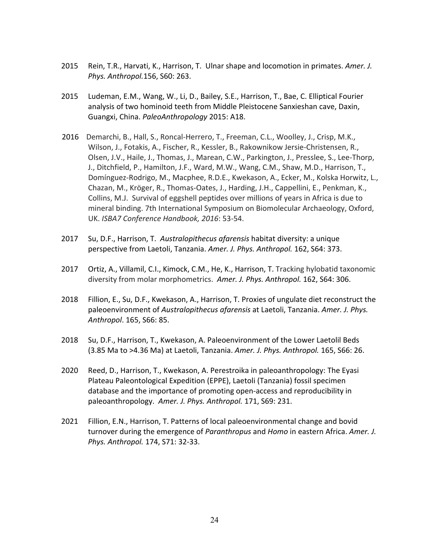- 2015 Rein, T.R., Harvati, K., Harrison, T. Ulnar shape and locomotion in primates. *Amer. J. Phys. Anthropol.*156, S60: 263.
- 2015 Ludeman, E.M., Wang, W., Li, D., Bailey, S.E., Harrison, T., Bae, C. Elliptical Fourier analysis of two hominoid teeth from Middle Pleistocene Sanxieshan cave, Daxin, Guangxi, China. PaleoAnthropology 2015: A18.
- 2016 Demarchi, B., Hall, S., Roncal-Herrero, T., Freeman, C.L., Woolley, J., Crisp, M.K., Wilson, J., Fotakis, A., Fischer, R., Kessler, B., Rakownikow Jersie-Christensen, R., Olsen, J.V., Haile, J., Thomas, J., Marean, C.W., Parkington, J., Presslee, S., Lee-Thorp, J., Ditchfield, P., Hamilton, J.F., Ward, M.W., Wang, C.M., Shaw, M.D., Harrison, T., Domínguez-Rodrigo, M., Macphee, R.D.E., Kwekason, A., Ecker, M., Kolska Horwitz, L., Chazan, M., Kröger, R., Thomas-Oates, J., Harding, J.H., Cappellini, E., Penkman, K., Collins, M.J. Survival of eggshell peptides over millions of years in Africa is due to mineral binding. 7th International Symposium on Biomolecular Archaeology, Oxford,  UK. *ISBA7 Conference Handbook, 2016*: 53-54.
- 2017 Su, D.F., Harrison, T. Australopithecus *afarensis* habitat diversity: a unique  perspective from Laetoli, Tanzania. *Amer. J. Phys. Anthropol.* 162, S64: 373.
- 2017 Ortiz, A., Villamil, C.I., Kimock, C.M., He, K., Harrison, T. Tracking hylobatid taxonomic diversity from molar morphometrics. Amer. J. Phys. Anthropol. 162, S64: 306.
- 2018 Fillion, E., Su, D.F., Kwekason, A., Harrison, T. Proxies of ungulate diet reconstruct the  paleoenvironment of *Australopithecus afarensis* at Laetoli, Tanzania. *Amer. J. Phys. Anthropol*. 165, S66: 85.
- 2018 Su, D.F., Harrison, T., Kwekason, A. Paleoenvironment of the Lower Laetolil Beds  (3.85 Ma to >4.36 Ma) at Laetoli, Tanzania. *Amer. J. Phys. Anthropol.* 165, S66: 26.
- 2020 Reed, D., Harrison, T., Kwekason, A. Perestroika in paleoanthropology: The Eyasi Plateau Paleontological Expedition (EPPE), Laetoli (Tanzania) fossil specimen database and the importance of promoting open-access and reproducibility in  paleoanthropology. *Amer. J. Phys. Anthropol.* 171, S69: 231.
- 2021 Fillion, E.N., Harrison, T. Patterns of local paleoenvironmental change and bovid  turnover during the emergence of *Paranthropus* and *Homo* in eastern Africa. *Amer. J. Phys. Anthropol.* 174, S71: 32-33.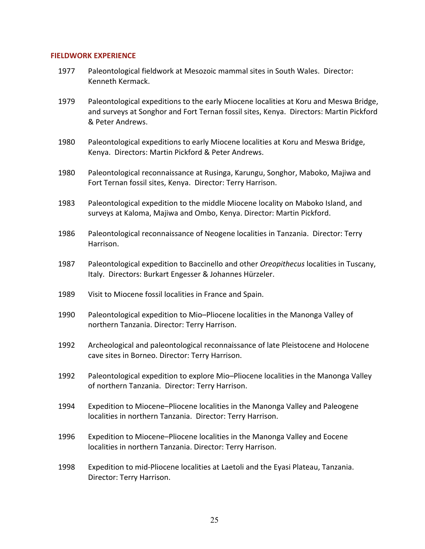#### **FIELDWORK EXPERIENCE**

- 1977 Paleontological fieldwork at Mesozoic mammal sites in South Wales. Director: Kenneth Kermack.
- 1979 Paleontological expeditions to the early Miocene localities at Koru and Meswa Bridge, and surveys at Songhor and Fort Ternan fossil sites, Kenya. Directors: Martin Pickford & Peter Andrews.
- 1980 Paleontological expeditions to early Miocene localities at Koru and Meswa Bridge, Kenya. Directors: Martin Pickford & Peter Andrews.
- 1980 Paleontological reconnaissance at Rusinga, Karungu, Songhor, Maboko, Majiwa and Fort Ternan fossil sites, Kenya. Director: Terry Harrison.
- 1983 Paleontological expedition to the middle Miocene locality on Maboko Island, and surveys at Kaloma, Majiwa and Ombo, Kenya. Director: Martin Pickford.
- 1986 Paleontological reconnaissance of Neogene localities in Tanzania. Director: Terry Harrison.
- 1987 Paleontological expedition to Baccinello and other *Oreopithecus* localities in Tuscany, Italy. Directors: Burkart Engesser & Johannes Hürzeler.
- 1989 Visit to Miocene fossil localities in France and Spain.
- 1990 Paleontological expedition to Mio–Pliocene localities in the Manonga Valley of northern Tanzania. Director: Terry Harrison.
- 1992 Archeological and paleontological reconnaissance of late Pleistocene and Holocene cave sites in Borneo. Director: Terry Harrison.
- 1992 Paleontological expedition to explore Mio–Pliocene localities in the Manonga Valley of northern Tanzania. Director: Terry Harrison.
- 1994 Expedition to Miocene–Pliocene localities in the Manonga Valley and Paleogene localities in northern Tanzania. Director: Terry Harrison.
- 1996 Expedition to Miocene–Pliocene localities in the Manonga Valley and Eocene localities in northern Tanzania. Director: Terry Harrison.
- 1998 Expedition to mid-Pliocene localities at Laetoli and the Eyasi Plateau, Tanzania. Director: Terry Harrison.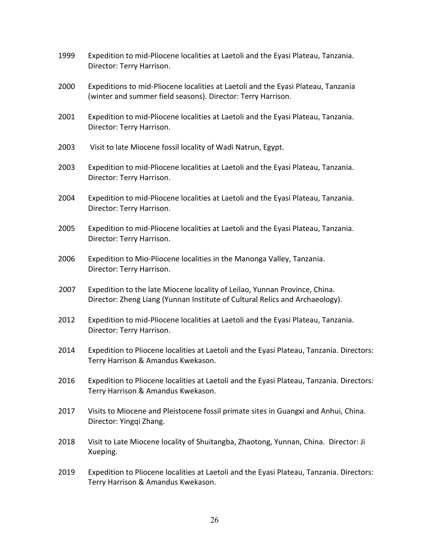- 1999 Expedition to mid-Pliocene localities at Laetoli and the Eyasi Plateau, Tanzania. Director: Terry Harrison.
- 2000 Expeditions to mid-Pliocene localities at Laetoli and the Eyasi Plateau, Tanzania (winter and summer field seasons). Director: Terry Harrison.
- 2001 Expedition to mid-Pliocene localities at Laetoli and the Eyasi Plateau, Tanzania. Director: Terry Harrison.
- 2003 Visit to late Miocene fossil locality of Wadi Natrun, Egypt.
- 2003 Expedition to mid-Pliocene localities at Laetoli and the Eyasi Plateau, Tanzania. Director: Terry Harrison.
- 2004 Expedition to mid-Pliocene localities at Laetoli and the Eyasi Plateau, Tanzania. Director: Terry Harrison.
- 2005 Expedition to mid-Pliocene localities at Laetoli and the Eyasi Plateau, Tanzania. Director: Terry Harrison.
- 2006 Expedition to Mio-Pliocene localities in the Manonga Valley, Tanzania. Director: Terry Harrison.
- 2007 Expedition to the late Miocene locality of Leilao, Yunnan Province, China. Director: Zheng Liang (Yunnan Institute of Cultural Relics and Archaeology).
- 2012 Expedition to mid-Pliocene localities at Laetoli and the Eyasi Plateau, Tanzania. Director: Terry Harrison.
- 2014 Expedition to Pliocene localities at Laetoli and the Eyasi Plateau, Tanzania. Directors: Terry Harrison & Amandus Kwekason.
- 2016 Expedition to Pliocene localities at Laetoli and the Eyasi Plateau, Tanzania. Directors: Terry Harrison & Amandus Kwekason.
- 2017 Visits to Miocene and Pleistocene fossil primate sites in Guangxi and Anhui, China. Director: Yingqi Zhang.
- 2018 Visit to Late Miocene locality of Shuitangba, Zhaotong, Yunnan, China. Director: Ji Xueping.
- 2019 Expedition to Pliocene localities at Laetoli and the Eyasi Plateau, Tanzania. Directors: Terry Harrison & Amandus Kwekason.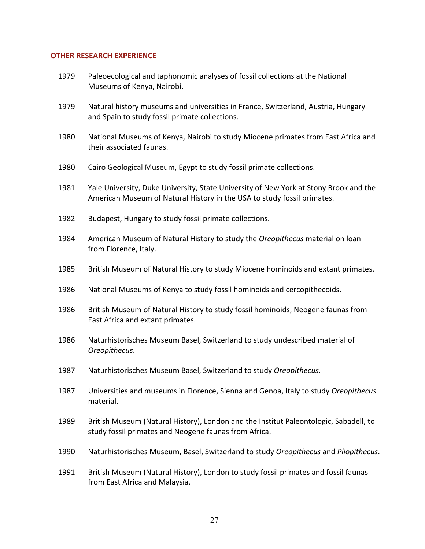#### **OTHER RESEARCH EXPERIENCE**

- 1979 Paleoecological and taphonomic analyses of fossil collections at the National Museums of Kenya, Nairobi.
- 1979 Natural history museums and universities in France, Switzerland, Austria, Hungary and Spain to study fossil primate collections.
	- their associated faunas. 1980 National Museums of Kenya, Nairobi to study Miocene primates from East Africa and
- 1980 Cairo Geological Museum, Egypt to study fossil primate collections.
- 1981 Yale University, Duke University, State University of New York at Stony Brook and the American Museum of Natural History in the USA to study fossil primates.
- 1982 Budapest, Hungary to study fossil primate collections.
- 1984 American Museum of Natural History to study the *Oreopithecus* material on loan from Florence, Italy.
- 1985 British Museum of Natural History to study Miocene hominoids and extant primates.
- 1986 National Museums of Kenya to study fossil hominoids and cercopithecoids.
- 1986 British Museum of Natural History to study fossil hominoids, Neogene faunas from East Africa and extant primates.
- 1986 Naturhistorisches Museum Basel, Switzerland to study undescribed material of *Oreopithecus*.
- 1987 Naturhistorisches Museum Basel, Switzerland to study *Oreopithecus*.
- 1987 Universities and museums in Florence, Sienna and Genoa, Italy to study *Oreopithecus* material.
- 1989 British Museum (Natural History), London and the Institut Paleontologic, Sabadell, to study fossil primates and Neogene faunas from Africa.
- 1990 Naturhistorisches Museum, Basel, Switzerland to study *Oreopithecus* and *Pliopithecus*.

 1991 British Museum (Natural History), London to study fossil primates and fossil faunas from East Africa and Malaysia.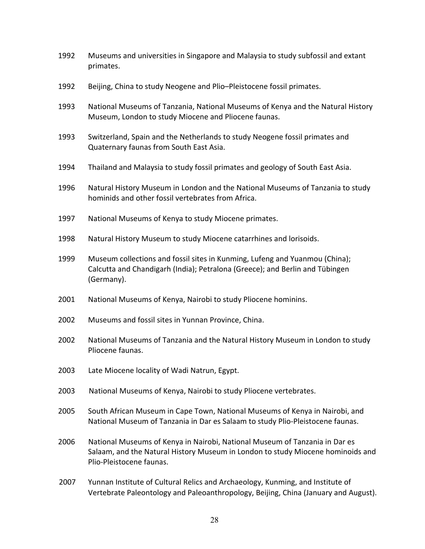- 1992 Museums and universities in Singapore and Malaysia to study subfossil and extant primates.
- 1992 Beijing, China to study Neogene and Plio–Pleistocene fossil primates.
- 1993 National Museums of Tanzania, National Museums of Kenya and the Natural History Museum, London to study Miocene and Pliocene faunas.
- 1993 Switzerland, Spain and the Netherlands to study Neogene fossil primates and Quaternary faunas from South East Asia.
- 1994 Thailand and Malaysia to study fossil primates and geology of South East Asia.
- 1996 Natural History Museum in London and the National Museums of Tanzania to study hominids and other fossil vertebrates from Africa.
- 1997 National Museums of Kenya to study Miocene primates.
- 1998 Natural History Museum to study Miocene catarrhines and lorisoids.
- 1999 Museum collections and fossil sites in Kunming, Lufeng and Yuanmou (China); Calcutta and Chandigarh (India); Petralona (Greece); and Berlin and Tübingen (Germany).
- 2001 National Museums of Kenya, Nairobi to study Pliocene hominins.
- 2002 Museums and fossil sites in Yunnan Province, China.
- 2002 National Museums of Tanzania and the Natural History Museum in London to study Pliocene faunas.
- 2003 Late Miocene locality of Wadi Natrun, Egypt.
- 2003 National Museums of Kenya, Nairobi to study Pliocene vertebrates.
- 2005 South African Museum in Cape Town, National Museums of Kenya in Nairobi, and National Museum of Tanzania in Dar es Salaam to study Plio-Pleistocene faunas.
- 2006 National Museums of Kenya in Nairobi, National Museum of Tanzania in Dar es Salaam, and the Natural History Museum in London to study Miocene hominoids and Plio-Pleistocene faunas.
	- 2007 Yunnan Institute of Cultural Relics and Archaeology, Kunming, and Institute of Vertebrate Paleontology and Paleoanthropology, Beijing, China (January and August).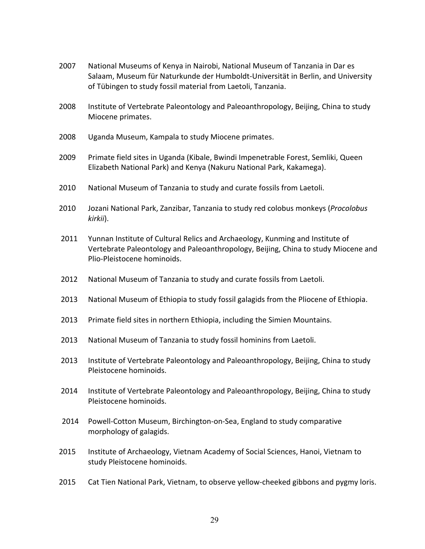- 2007 National Museums of Kenya in Nairobi, National Museum of Tanzania in Dar es Salaam, Museum für Naturkunde der Humboldt-Universität in Berlin, and University of Tübingen to study fossil material from Laetoli, Tanzania.
- 2008 Institute of Vertebrate Paleontology and Paleoanthropology, Beijing, China to study Miocene primates.
- 2008 Uganda Museum, Kampala to study Miocene primates.
- 2009 Primate field sites in Uganda (Kibale, Bwindi Impenetrable Forest, Semliki, Queen Elizabeth National Park) and Kenya (Nakuru National Park, Kakamega).
- 2010 National Museum of Tanzania to study and curate fossils from Laetoli.
- 2010 Jozani National Park, Zanzibar, Tanzania to study red colobus monkeys (Procolobus *kirkii*).
- 2011 Yunnan Institute of Cultural Relics and Archaeology, Kunming and Institute of Vertebrate Paleontology and Paleoanthropology, Beijing, China to study Miocene and Plio-Pleistocene hominoids.
- 2012 National Museum of Tanzania to study and curate fossils from Laetoli.
- 2013 National Museum of Ethiopia to study fossil galagids from the Pliocene of Ethiopia.
- 2013 Primate field sites in northern Ethiopia, including the Simien Mountains.
- 2013 National Museum of Tanzania to study fossil hominins from Laetoli.
- 2013 Institute of Vertebrate Paleontology and Paleoanthropology, Beijing, China to study Pleistocene hominoids.
- 2014 Institute of Vertebrate Paleontology and Paleoanthropology, Beijing, China to study Pleistocene hominoids.
- 2014 Powell-Cotton Museum, Birchington-on-Sea, England to study comparative morphology of galagids.
	- 2015 Institute of Archaeology, Vietnam Academy of Social Sciences, Hanoi, Vietnam to study Pleistocene hominoids.
	- 2015 Cat Tien National Park, Vietnam, to observe yellow-cheeked gibbons and pygmy loris.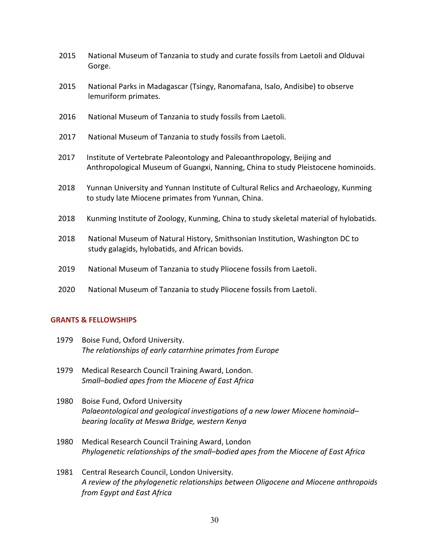- 2015 National Museum of Tanzania to study and curate fossils from Laetoli and Olduvai Gorge.
- 2015 National Parks in Madagascar (Tsingy, Ranomafana, Isalo, Andisibe) to observe lemuriform primates.
- 2016 National Museum of Tanzania to study fossils from Laetoli.
- 2017 National Museum of Tanzania to study fossils from Laetoli.
- 2017 Institute of Vertebrate Paleontology and Paleoanthropology, Beijing and Anthropological Museum of Guangxi, Nanning, China to study Pleistocene hominoids.
- 2018 Yunnan University and Yunnan Institute of Cultural Relics and Archaeology, Kunming to study late Miocene primates from Yunnan, China.
- 2018 Kunming Institute of Zoology, Kunming, China to study skeletal material of hylobatids.
- 2018 National Museum of Natural History, Smithsonian Institution, Washington DC to study galagids, hylobatids, and African bovids.
- 2019 National Museum of Tanzania to study Pliocene fossils from Laetoli.
- 2020 National Museum of Tanzania to study Pliocene fossils from Laetoli.

# **GRANTS & FELLOWSHIPS**

- 1979 Boise Fund, Oxford University.  *The relationships of early catarrhine primates from Europe*
- 1979 Medical Research Council Training Award, London.  *Small–bodied apes from the Miocene of East Africa*
- 1980 Boise Fund, Oxford University  *Palaeontological and geological investigations of a new lower Miocene hominoid– bearing locality at Meswa Bridge, western Kenya*
- 1980 Medical Research Council Training Award, London  *Phylogenetic relationships of the small–bodied apes from the Miocene of East Africa*
- 1981 Central Research Council, London University.  *A review of the phylogenetic relationships between Oligocene and Miocene anthropoids from Egypt and East Africa*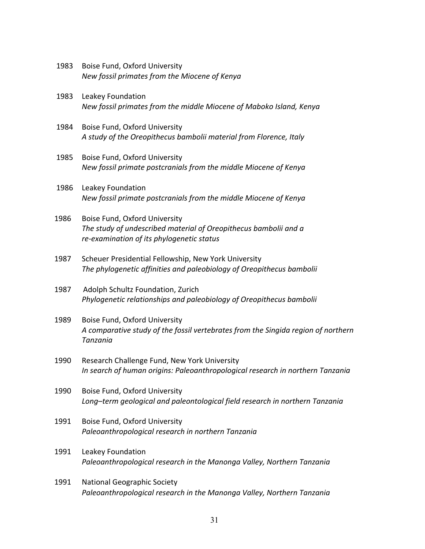- 1983 Boise Fund, Oxford University  *New fossil primates from the Miocene of Kenya*
- 1983 Leakey Foundation  *New fossil primates from the middle Miocene of Maboko Island, Kenya*
- 1984 Boise Fund, Oxford University  *A study of the Oreopithecus bambolii material from Florence, Italy*
- 1985 Boise Fund, Oxford University  *New fossil primate postcranials from the middle Miocene of Kenya*
- 1986 Leakey Foundation  *New fossil primate postcranials from the middle Miocene of Kenya*
- 1986 Boise Fund, Oxford University  *The study of undescribed material of Oreopithecus bambolii and a re-examination of its phylogenetic status*
- 1987 Scheuer Presidential Fellowship, New York University  *The phylogenetic affinities and paleobiology of Oreopithecus bambolii*
- 1987 Adolph Schultz Foundation, Zurich  *Phylogenetic relationships and paleobiology of Oreopithecus bambolii*
- 1989 Boise Fund, Oxford University  *A comparative study of the fossil vertebrates from the Singida region of northern Tanzania*
- 1990 Research Challenge Fund, New York University  *In search of human origins: Paleoanthropological research in northern Tanzania*
- 1990 Boise Fund, Oxford University  *Long–term geological and paleontological field research in northern Tanzania*
- 1991 Boise Fund, Oxford University  *Paleoanthropological research in northern Tanzania*
- 1991 Leakey Foundation  *Paleoanthropological research in the Manonga Valley, Northern Tanzania*
- 1991 National Geographic Society  *Paleoanthropological research in the Manonga Valley, Northern Tanzania*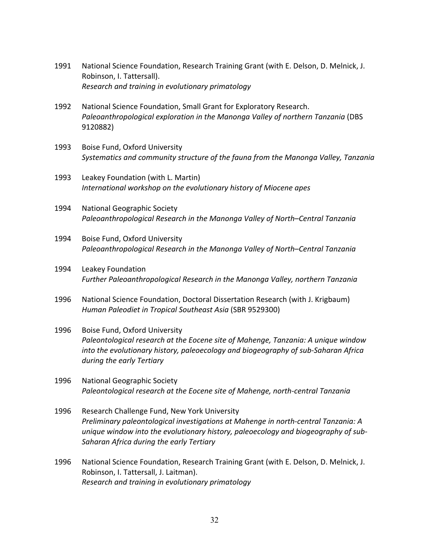- 1991 National Science Foundation, Research Training Grant (with E. Delson, D. Melnick, J. Robinson, I. Tattersall).  *Research and training in evolutionary primatology*
- 1992 National Science Foundation, Small Grant for Exploratory Research.  *Paleoanthropological exploration in the Manonga Valley of northern Tanzania* (DBS 9120882)
- 1993 Boise Fund, Oxford University  *Systematics and community structure of the fauna from the Manonga Valley, Tanzania*
- 1993 Leakey Foundation (with L. Martin)  *International workshop on the evolutionary history of Miocene apes*
- 1994 National Geographic Society  *Paleoanthropological Research in the Manonga Valley of North–Central Tanzania*
- 1994 Boise Fund, Oxford University  *Paleoanthropological Research in the Manonga Valley of North–Central Tanzania*
- 1994 Leakey Foundation  *Further Paleoanthropological Research in the Manonga Valley, northern Tanzania*
- 1996 National Science Foundation, Doctoral Dissertation Research (with J. Krigbaum)  *Human Paleodiet in Tropical Southeast Asia* (SBR 9529300)
- 1996 Boise Fund, Oxford University  *Paleontological research at the Eocene site of Mahenge, Tanzania: A unique window into the evolutionary history, paleoecology and biogeography of sub-Saharan Africa during the early Tertiary*
- 1996 National Geographic Society  *Paleontological research at the Eocene site of Mahenge, north-central Tanzania*
- 1996 Research Challenge Fund, New York University  *Preliminary paleontological investigations at Mahenge in north-central Tanzania: A unique window into the evolutionary history, paleoecology and biogeography of sub- Saharan Africa during the early Tertiary*
- 1996 National Science Foundation, Research Training Grant (with E. Delson, D. Melnick, J. Robinson, I. Tattersall, J. Laitman).  *Research and training in evolutionary primatology*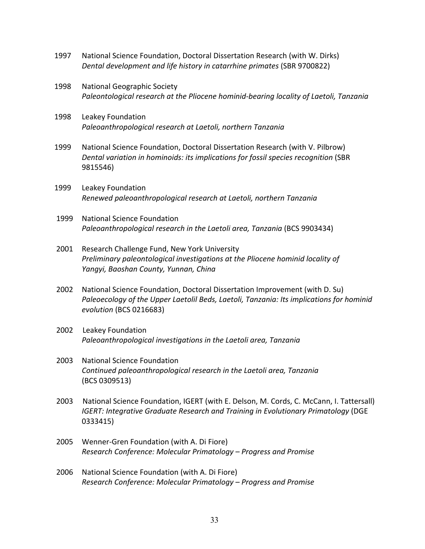- 1997 National Science Foundation, Doctoral Dissertation Research (with W. Dirks) *Dental development and life history in catarrhine primates* (SBR 9700822)
- 1998 National Geographic Society  *Paleontological research at the Pliocene hominid-bearing locality of Laetoli, Tanzania*
- 1998 Leakey Foundation  *Paleoanthropological research at Laetoli, northern Tanzania*
- 1999 National Science Foundation, Doctoral Dissertation Research (with V. Pilbrow)  *Dental variation in hominoids: its implications for fossil species recognition* (SBR 9815546)
- 1999 Leakey Foundation  *Renewed paleoanthropological research at Laetoli, northern Tanzania*
- 1999 National Science Foundation  *Paleoanthropological research in the Laetoli area, Tanzania* (BCS 9903434)
- 2001 Research Challenge Fund, New York University  *Preliminary paleontological investigations at the Pliocene hominid locality of Yangyi, Baoshan County, Yunnan, China*
- 2002 National Science Foundation, Doctoral Dissertation Improvement (with D. Su)  *Paleoecology of the Upper Laetolil Beds, Laetoli, Tanzania: Its implications for hominid evolution* (BCS 0216683)
- 2002 Leakey Foundation  *Paleoanthropological investigations in the Laetoli area, Tanzania*
- 2003 National Science Foundation  *Continued paleoanthropological research in the Laetoli area, Tanzania* (BCS 0309513)
- 2003 National Science Foundation, IGERT (with E. Delson, M. Cords, C. McCann, I. Tattersall)  *IGERT: Integrative Graduate Research and Training in Evolutionary Primatology* (DGE 0333415)
- 2005 Wenner-Gren Foundation (with A. Di Fiore)  *Research Conference: Molecular Primatology – Progress and Promise*
- 2006 National Science Foundation (with A. Di Fiore)  *Research Conference: Molecular Primatology – Progress and Promise*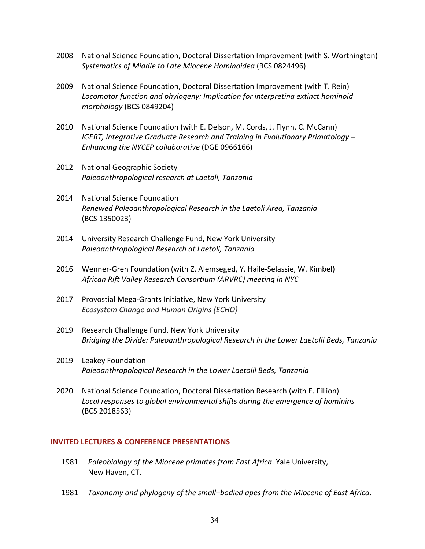- 2008 National Science Foundation, Doctoral Dissertation Improvement (with S. Worthington)  *Systematics of Middle to Late Miocene Hominoidea* (BCS 0824496)
- 2009 National Science Foundation, Doctoral Dissertation Improvement (with T. Rein)  *Locomotor function and phylogeny: Implication for interpreting extinct hominoid morphology* (BCS 0849204)
- 2010 National Science Foundation (with E. Delson, M. Cords, J. Flynn, C. McCann) *<i>IGERT, Integrative Graduate Research and Training in Evolutionary Primatology Enhancing the NYCEP collaborative* (DGE 0966166)
- 2012 National Geographic Society  *Paleoanthropological research at Laetoli, Tanzania*
- 2014 National Science Foundation  *Renewed Paleoanthropological Research in the Laetoli Area, Tanzania* (BCS 1350023)
- 2014 University Research Challenge Fund, New York University  *Paleoanthropological Research at Laetoli, Tanzania*
- 2016 Wenner-Gren Foundation (with Z. Alemseged, Y. Haile-Selassie, W. Kimbel)  *African Rift Valley Research Consortium (ARVRC) meeting in NYC*
- 2017 Provostial Mega-Grants Initiative, New York University  *Ecosystem Change and Human Origins (ECHO)*
- 2019 Research Challenge Fund, New York University  *Bridging the Divide: Paleoanthropological Research in the Lower Laetolil Beds, Tanzania*
- 2019 Leakey Foundation  *Paleoanthropological Research in the Lower Laetolil Beds, Tanzania*
- 2020 National Science Foundation, Doctoral Dissertation Research (with E. Fillion)  *Local responses to global environmental shifts during the emergence of hominins* (BCS 2018563)

### **INVITED LECTURES & CONFERENCE PRESENTATIONS**

- 1981 Paleobiology of the Miocene primates from East Africa. Yale University, New Haven, CT.
- 1981 *Taxonomy and phylogeny of the small–bodied apes from the Miocene of East Africa*.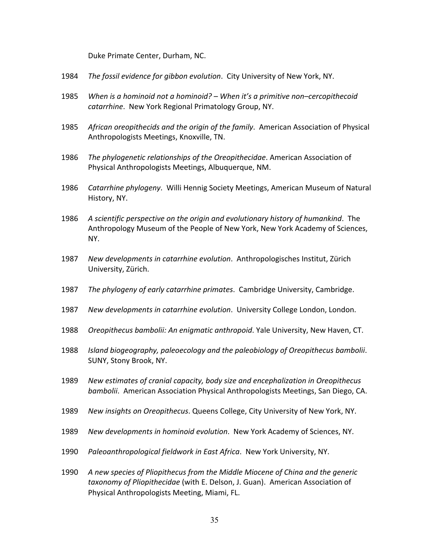Duke Primate Center, Durham, NC.

- 1984 The fossil evidence for gibbon evolution. City University of New York, NY.
- 1985 *When is a hominoid not a hominoid? – When it's a primitive non–cercopithecoid* catarrhine. New York Regional Primatology Group, NY.
- 1985 African *oreopithecids and the origin of the family*. American Association of Physical Anthropologists Meetings, Knoxville, TN.
- 1986 The *phylogenetic relationships of the Oreopithecidae*. American Association of Physical Anthropologists Meetings, Albuquerque, NM.
- 1986 *Catarrhine phylogeny*. Willi Hennig Society Meetings, American Museum of Natural History, NY.
- 1986 *A scientific perspective on the origin and evolutionary history of humankind*. The Anthropology Museum of the People of New York, New York Academy of Sciences, NY.
- 1987 New *developments in catarrhine evolution*. Anthropologisches Institut, Zürich University, Zürich.
- 1987 The *phylogeny of early catarrhine primates*. Cambridge University, Cambridge.
- 1987 New *developments in catarrhine evolution*. University College London, London.
- 1988 *Oreopithecus bambolii: An enigmatic anthropoid*. Yale University, New Haven, CT.
- 1988 *Island biogeography, paleoecology and the paleobiology of Oreopithecus bambolii*. SUNY, Stony Brook, NY.
- 1989 *New estimates of cranial capacity, body size and encephalization in Oreopithecus bambolii*. American Association Physical Anthropologists Meetings, San Diego, CA.
- 1989 New *insights on Oreopithecus*. Queens College, City University of New York, NY.
- 1989 New *developments in hominoid evolution*. New York Academy of Sciences, NY.
- 1990 *Paleoanthropological fieldwork in East Africa*. New York University, NY.
- 1990 A new species of Pliopithecus from the Middle Miocene of China and the generic taxonomy of Pliopithecidae (with E. Delson, J. Guan). American Association of Physical Anthropologists Meeting, Miami, FL.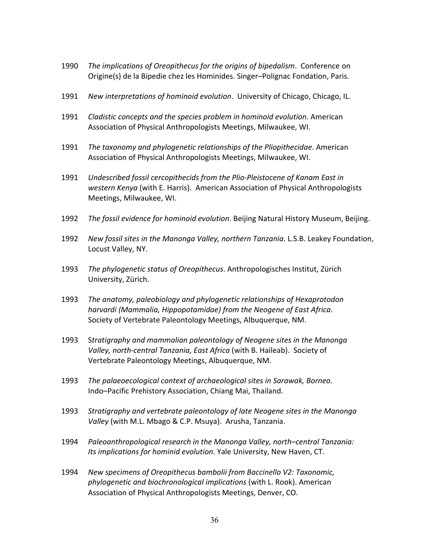- **1990** The *implications* of *Oreopithecus* for the *origins* of *bipedalism*. Conference on Origine(s) de la Bipedie chez les Hominides. Singer-Polignac Fondation, Paris.
- 1991 New *interpretations of hominoid evolution*. University of Chicago, Chicago, IL.
- **1991** Cladistic concepts and the species problem in hominoid evolution. American Association of Physical Anthropologists Meetings, Milwaukee, WI.
- 1991 The taxonomy and phylogenetic relationships of the Pliopithecidae. American Association of Physical Anthropologists Meetings, Milwaukee, WI.
- 1991 *Undescribed fossil cercopithecids from the Plio-Pleistocene of Kanam East in western Kenya* (with E. Harris). American Association of Physical Anthropologists Meetings, Milwaukee, WI.
- 1992 The fossil evidence for hominoid evolution. Beijing Natural History Museum, Beijing.
- 1992 *New fossil sites in the Manonga Valley, northern Tanzania*. L.S.B. Leakey Foundation, Locust Valley, NY.
- 1993 *The phylogenetic status of Oreopithecus*. Anthropologisches Institut, Zürich University, Zürich.
- 1993 *The anatomy, paleobiology and phylogenetic relationships of Hexaprotodon harvardi (Mammalia, Hippopotamidae) from the Neogene of East Africa*. Society of Vertebrate Paleontology Meetings, Albuquerque, NM.
- 1993 S*tratigraphy and mammalian paleontology of Neogene sites in the Manonga Valley, north-central Tanzania, East Africa* (with B. Haileab). Society of Vertebrate Paleontology Meetings, Albuquerque, NM.
- 1993 *The palaeoecological context of archaeological sites in Sarawak, Borneo.* Indo–Pacific Prehistory Association, Chiang Mai, Thailand.
- 1993 *Stratigraphy and vertebrate paleontology of late Neogene sites in the Manonga Valley* (with M.L. Mbago & C.P. Msuya). Arusha, Tanzania.
- 1994 *Paleoanthropological research in the Manonga Valley, north–central Tanzania: Its implications for hominid evolution*. Yale University, New Haven, CT.
- 1994 *New specimens of Oreopithecus bambolii from Baccinello V2: Taxonomic, phylogenetic and biochronological implications* (with L. Rook). American Association of Physical Anthropologists Meetings, Denver, CO.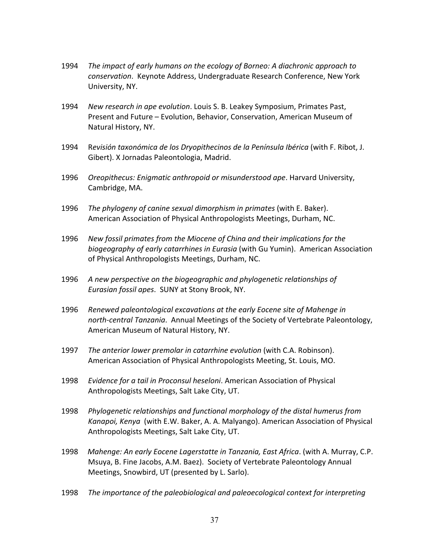- 1994 *The impact of early humans on the ecology of Borneo: A diachronic approach to* conservation. Keynote Address, Undergraduate Research Conference, New York University, NY.
- 1994 New *research in ape evolution*. Louis S. B. Leakey Symposium, Primates Past, Present and Future – Evolution, Behavior, Conservation, American Museum of Natural History, NY.
- 1994 R*evisión taxonómica de los Dryopithecinos de la Península Ibérica* (with F. Ribot, J. Gibert). X Jornadas Paleontologia, Madrid.
- 1996 *Oreopithecus: Enigmatic anthropoid or misunderstood ape*. Harvard University, Cambridge, MA.
- 1996 *The phylogeny of canine sexual dimorphism in primates* (with E. Baker). American Association of Physical Anthropologists Meetings, Durham, NC.
- 1996 *New fossil primates from the Miocene of China and their implications for the biogeography of early catarrhines in Eurasia* (with Gu Yumin). American Association of Physical Anthropologists Meetings, Durham, NC.
- 1996 *A new perspective on the biogeographic and phylogenetic relationships of Eurasian fossil apes.* SUNY at Stony Brook, NY.
- 1996 *Renewed paleontological excavations at the early Eocene site of Mahenge in north-central Tanzania*. Annual Meetings of the Society of Vertebrate Paleontology, American Museum of Natural History, NY.
- **1997** The anterior lower premolar in catarrhine evolution (with C.A. Robinson). American Association of Physical Anthropologists Meeting, St. Louis, MO.
- 1998 *Evidence for a tail in Proconsul heseloni*. American Association of Physical Anthropologists Meetings, Salt Lake City, UT.
- 1998 *Phylogenetic relationships and functional morphology of the distal humerus from*  Kanapoi, Kenya (with E.W. Baker, A. A. Malyango). American Association of Physical Anthropologists Meetings, Salt Lake City, UT.
- 1998 *Mahenge: An early Eocene Lagerstatte in Tanzania, East Africa. (with A. Murray, C.P.*  Msuya, B. Fine Jacobs, A.M. Baez). Society of Vertebrate Paleontology Annual Meetings, Snowbird, UT (presented by L. Sarlo).
- 1998 *The importance of the paleobiological and paleoecological context for interpreting*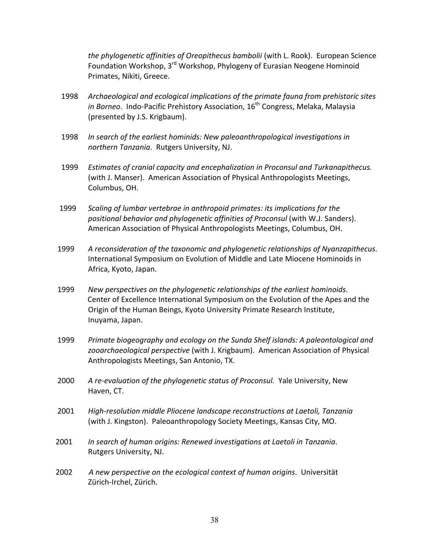*the phylogenetic affinities of Oreopithecus bambolii* (with L. Rook). European Science Foundation Workshop, 3<sup>rd</sup> Workshop, Phylogeny of Eurasian Neogene Hominoid Primates, Nikiti, Greece.

- 1998 *Archaeological and ecological implications of the primate fauna from prehistoric sites in Borneo*. Indo-Pacific Prehistory Association, 16<sup>th</sup> Congress, Melaka, Malaysia (presented by J.S. Krigbaum).
- 1998 *In search of the earliest hominids: New paleoanthropological investigations in northern Tanzania. Rutgers University, NJ.*
- 1999 *Estimates of cranial capacity and encephalization in Proconsul and Turkanapithecus.* (with J. Manser). American Association of Physical Anthropologists Meetings, Columbus, OH.
- 1999 *Scaling of lumbar vertebrae in anthropoid primates: its implications for the positional behavior and phylogenetic affinities of Proconsul* (with W.J. Sanders). American Association of Physical Anthropologists Meetings, Columbus, OH.
- 1999 *A reconsideration of the taxonomic and phylogenetic relationships of Nyanzapithecus*. International Symposium on Evolution of Middle and Late Miocene Hominoids in Africa, Kyoto, Japan.
- 1999 *New perspectives on the phylogenetic relationships of the earliest hominoids*. Center of Excellence International Symposium on the Evolution of the Apes and the Origin of the Human Beings, Kyoto University Primate Research Institute, Inuyama, Japan.
- 1999 *Primate biogeography and ecology on the Sunda Shelf islands: A paleontological and zooarchaeological perspective* (with J. Krigbaum). American Association of Physical Anthropologists Meetings, San Antonio, TX.
- 2000 A re-evaluation of the phylogenetic status of Proconsul. Yale University, New Haven, CT.
- 2001 *High-resolution middle Pliocene landscape reconstructions at Laetoli, Tanzania* (with J. Kingston). Paleoanthropology Society Meetings, Kansas City, MO.
- 2001 *In search of human origins: Renewed investigations at Laetoli in Tanzania*. Rutgers University, NJ.
- 2002 A new perspective on the ecological context of human origins. Universität Zürich-Irchel, Zürich.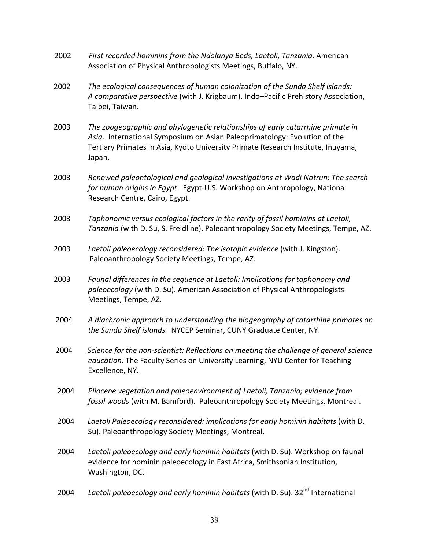- 2002 *First recorded hominins from the Ndolanya Beds, Laetoli, Tanzania*. American Association of Physical Anthropologists Meetings, Buffalo, NY.
- 2002 *The ecological consequences of human colonization of the Sunda Shelf Islands:* A *comparative perspective* (with J. Krigbaum). Indo–Pacific Prehistory Association, Taipei, Taiwan.
- 2003 *The zoogeographic and phylogenetic relationships of early catarrhine primate in* Asia. International Symposium on Asian Paleoprimatology: Evolution of the Tertiary Primates in Asia, Kyoto University Primate Research Institute, Inuyama, Japan.
- 2003 *Renewed paleontological and geological investigations at Wadi Natrun: The search* for human origins in Egypt. Egypt-U.S. Workshop on Anthropology, National Research Centre, Cairo, Egypt.
- 2003 *Taphonomic versus ecological factors in the rarity of fossil hominins at Laetoli, Tanzania* (with D. Su, S. Freidline). Paleoanthropology Society Meetings, Tempe, AZ.
- 2003 Laetoli paleoecology reconsidered: The *isotopic evidence* (with J. Kingston). Paleoanthropology Society Meetings, Tempe, AZ.
- 2003 *Faunal differences in the sequence at Laetoli: Implications for taphonomy and paleoecology* (with D. Su). American Association of Physical Anthropologists Meetings, Tempe, AZ.
- 2004 *A diachronic approach to understanding the biogeography of catarrhine primates on the Sunda Shelf islands.* NYCEP Seminar, CUNY Graduate Center, NY.
- 2004 *Science for the non-scientist: Reflections on meeting the challenge of general science education*. The Faculty Series on University Learning, NYU Center for Teaching Excellence, NY.
- 2004 *Pliocene vegetation and paleoenvironment of Laetoli, Tanzania; evidence from fossil woods* (with M. Bamford). Paleoanthropology Society Meetings, Montreal.
- 2004 *Laetoli Paleoecology reconsidered: implications for early hominin habitats* (with D. Su). Paleoanthropology Society Meetings, Montreal.
- 2004 Laetoli paleoecology and early hominin habitats (with D. Su). Workshop on faunal evidence for hominin paleoecology in East Africa, Smithsonian Institution, Washington, DC.
- 2004 Laetoli paleoecology and early hominin habitats (with D. Su). 32<sup>nd</sup> International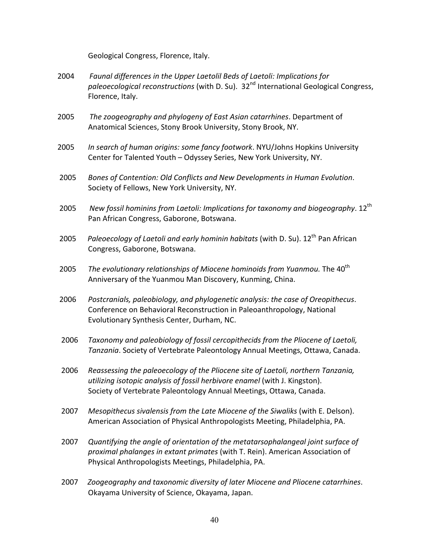Geological Congress, Florence, Italy.

- 2004 *Faunal differences in the Upper Laetolil Beds of Laetoli: Implications for paleoecological reconstructions* (with D. Su). 32nd International Geological Congress, Florence, Italy.
- 2005 The *zoogeography* and *phylogeny of East Asian catarrhines*. Department of Anatomical Sciences, Stony Brook University, Stony Brook, NY.
- 2005 *In search of human origins: some fancy footwork*. NYU/Johns Hopkins University Center for Talented Youth – Odyssey Series, New York University, NY.
- 2005 *Bones of Contention: Old Conflicts and New Developments in Human Evolution*. Society of Fellows, New York University, NY.
- 2005 New fossil hominins from Laetoli: Implications for taxonomy and biogeography. 12<sup>th</sup> Pan African Congress, Gaborone, Botswana.
- 2005 *Paleoecology of Laetoli and early hominin habitats* (with D. Su). 12<sup>th</sup> Pan African Congress, Gaborone, Botswana.
- 2005 *The evolutionary relationships of Miocene hominoids from Yuanmou. The 40<sup>th</sup>*  Anniversary of the Yuanmou Man Discovery, Kunming, China.
- 2006 *Postcranials, paleobiology, and phylogenetic analysis: the case of Oreopithecus*. Conference on Behavioral Reconstruction in Paleoanthropology, National Evolutionary Synthesis Center, Durham, NC.
- 2006 *Taxonomy and paleobiology of fossil cercopithecids from the Pliocene of Laetoli, Tanzania*. Society of Vertebrate Paleontology Annual Meetings, Ottawa, Canada.
- 2006 *Reassessing the paleoecology of the Pliocene site of Laetoli, northern Tanzania, utilizing isotopic analysis of fossil herbivore enamel* (with J. Kingston). Society of Vertebrate Paleontology Annual Meetings, Ottawa, Canada.
- 2007 *Mesopithecus sivalensis from the Late Miocene of the Siwaliks (with E. Delson).*  American Association of Physical Anthropologists Meeting, Philadelphia, PA.
- 2007 *Quantifying the angle of orientation of the metatarsophalangeal joint surface of proximal phalanges in extant primates* (with T. Rein). American Association of Physical Anthropologists Meetings, Philadelphia, PA.
- 2007 *Zoogeography and taxonomic diversity of later Miocene and Pliocene catarrhines*. Okayama University of Science, Okayama, Japan.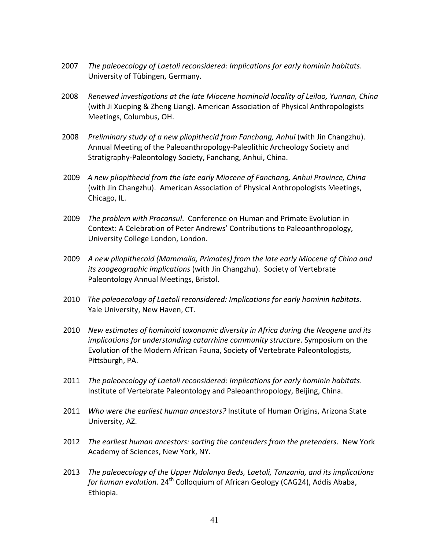- 2007 *The paleoecology of Laetoli reconsidered: Implications for early hominin habitats*. University of Tübingen, Germany.
- 2008 *Renewed investigations at the late Miocene hominoid locality of Leilao, Yunnan, China* (with Ji Xueping & Zheng Liang). American Association of Physical Anthropologists Meetings, Columbus, OH.
- 2008 Preliminary study of a new pliopithecid from Fanchang, Anhui (with Jin Changzhu). Annual Meeting of the Paleoanthropology-Paleolithic Archeology Society and Stratigraphy-Paleontology Society, Fanchang, Anhui, China.
- 2009 *A new pliopithecid from the late early Miocene of Fanchang, Anhui Province, China* (with Jin Changzhu). American Association of Physical Anthropologists Meetings, Chicago, IL.
- 2009 *The problem with Proconsul*. Conference on Human and Primate Evolution in Context: A Celebration of Peter Andrews' Contributions to Paleoanthropology, University College London, London.
- 2009 *A new pliopithecoid (Mammalia, Primates) from the late early Miocene of China and its zoogeographic implications* (with Jin Changzhu). Society of Vertebrate Paleontology Annual Meetings, Bristol.
- 2010 *The paleoecology of Laetoli reconsidered: Implications for early hominin habitats*. Yale University, New Haven, CT.
- 2010 *New estimates of hominoid taxonomic diversity in Africa during the Neogene and its implications for understanding catarrhine community structure*. Symposium on the Evolution of the Modern African Fauna, Society of Vertebrate Paleontologists, Pittsburgh, PA.
- 2011 *The paleoecology of Laetoli reconsidered: Implications for early hominin habitats*. Institute of Vertebrate Paleontology and Paleoanthropology, Beijing, China.
- 2011 *Who were the earliest human ancestors?* Institute of Human Origins, Arizona State University, AZ.
- 2012 The earliest human ancestors: sorting the contenders from the pretenders. New York Academy of Sciences, New York, NY.
- 2013 *The paleoecology of the Upper Ndolanya Beds, Laetoli, Tanzania, and its implications* for *human evolution*. 24<sup>th</sup> Colloquium of African Geology (CAG24), Addis Ababa, Ethiopia.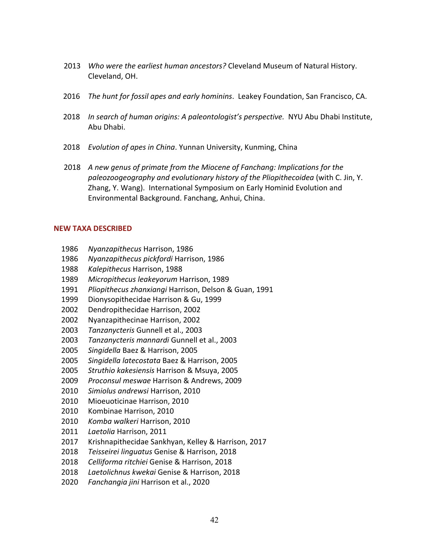- 2013 *Who were the earliest human ancestors?* Cleveland Museum of Natural History. Cleveland, OH.
- 2016 *The hunt for fossil apes and early hominins*. Leakey Foundation, San Francisco, CA.
- 2018 *In search of human origins: A paleontologist's perspective.* NYU Abu Dhabi Institute, Abu Dhabi.
- 2018 *Evolution of apes in China*. Yunnan University, Kunming, China
	- 2018 *A new genus of primate from the Miocene of Fanchang: Implications for the paleozoogeography and evolutionary history of the Pliopithecoidea* (with C. Jin, Y. Zhang, Y. Wang). International Symposium on Early Hominid Evolution and Environmental Background. Fanchang, Anhui, China.

# **NEW TAXA DESCRIBED**

- 1986 *Nyanzapithecus* Harrison, 1986
- 1986 *Nyanzapithecus pickfordi* Harrison, 1986
- 1988 *Kalepithecus* Harrison, 1988
- 1989 *Micropithecus leakeyorum* Harrison, 1989
- 1991 *Pliopithecus zhanxiangi* Harrison, Delson & Guan, 1991
- 1999 Dionysopithecidae Harrison & Gu, 1999
- 2002 Dendropithecidae Harrison, 2002
- 2002 Nyanzapithecinae Harrison, 2002
- 2003 *Tanzanycteris* Gunnell et al., 2003
- 2003 *Tanzanycteris mannardi* Gunnell et al., 2003
- 2005 *Singidella* Baez & Harrison, 2005
- 2005 *Singidella latecostata* Baez & Harrison, 2005
- 2005 *Struthio kakesiensis* Harrison & Msuya, 2005
- 2009 *Proconsul meswae* Harrison & Andrews, 2009
- 2010 *Simiolus andrewsi* Harrison, 2010
- 2010 Mioeuoticinae Harrison, 2010
- 2010 Kombinae Harrison, 2010
- 2010 *Komba walkeri* Harrison, 2010
- 2011 *Laetolia* Harrison, 2011
- 2017 Krishnapithecidae Sankhyan, Kelley & Harrison, 2017
- 2018 *Teisseirei linguatus* Genise & Harrison, 2018
- 2018 *Celliforma ritchiei* Genise & Harrison, 2018
- 2018 *Laetolichnus kwekai* Genise & Harrison, 2018
- 2020 *Fanchangia jini* Harrison et al., 2020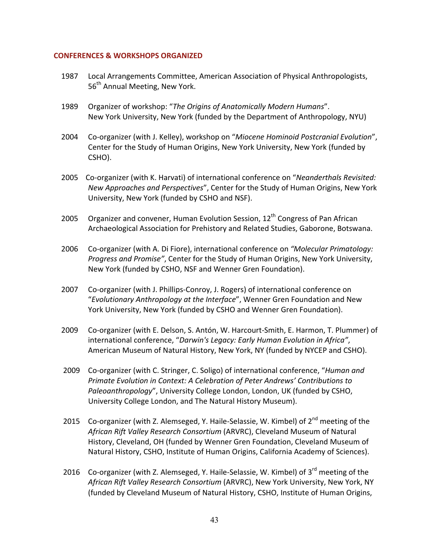# **CONFERENCES & WORKSHOPS ORGANIZED**

- 1987 Local Arrangements Committee, American Association of Physical Anthropologists, 56<sup>th</sup> Annual Meeting, New York.
- 1989 Organizer of workshop: "*The Origins of Anatomically Modern Humans*". New York University, New York (funded by the Department of Anthropology, NYU)
- 2004 Co-organizer (with J. Kelley), workshop on "*Miocene Hominoid Postcranial Evolution*", Center for the Study of Human Origins, New York University, New York (funded by CSHO).
- 2005 Co-organizer (with K. Harvati) of international conference on "*Neanderthals Revisited: New Approaches and Perspectives"*, Center for the Study of Human Origins, New York University, New York (funded by CSHO and NSF).
- 2005 Organizer and convener, Human Evolution Session,  $12^{th}$  Congress of Pan African Archaeological Association for Prehistory and Related Studies, Gaborone, Botswana.
- 2006 Co-organizer (with A. Di Fiore), international conference on "Molecular Primatology: *Progress and Promise"*, Center for the Study of Human Origins, New York University, New York (funded by CSHO, NSF and Wenner Gren Foundation).
- 2007 Co-organizer (with J. Phillips-Conroy, J. Rogers) of international conference on "Evolutionary Anthropology at the Interface", Wenner Gren Foundation and New York University, New York (funded by CSHO and Wenner Gren Foundation).
- 2009 Co-organizer (with E. Delson, S. Antón, W. Harcourt-Smith, E. Harmon, T. Plummer) of  international conference, "*Darwin's Legacy: Early Human Evolution in Africa"*, American Museum of Natural History, New York, NY (funded by NYCEP and CSHO).
- 2009 Co-organizer (with C. Stringer, C. Soligo) of international conference, "*Human and Primate Evolution in Context: A Celebration of Peter Andrews' Contributions to Paleoanthropology*", University College London, London, UK (funded by CSHO, University College London, and The Natural History Museum).
- 2015 Co-organizer (with Z. Alemseged, Y. Haile-Selassie, W. Kimbel) of 2<sup>nd</sup> meeting of the African Rift Valley Research Consortium (ARVRC), Cleveland Museum of Natural History, Cleveland, OH (funded by Wenner Gren Foundation, Cleveland Museum of Natural History, CSHO, Institute of Human Origins, California Academy of Sciences).
- 2016 Co-organizer (with Z. Alemseged, Y. Haile-Selassie, W. Kimbel) of  $3^{rd}$  meeting of the  *African Rift Valley Research Consortium* (ARVRC), New York University, New York, NY (funded by Cleveland Museum of Natural History, CSHO, Institute of Human Origins,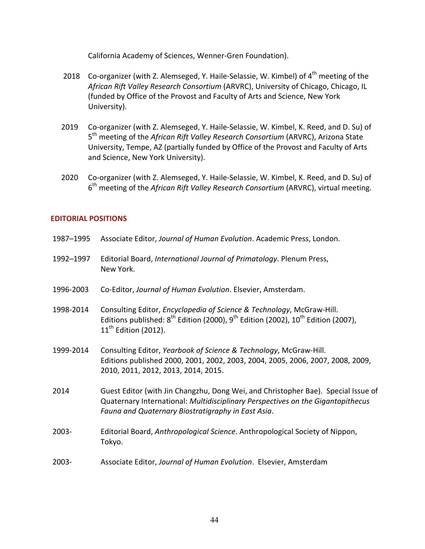California Academy of Sciences, Wenner-Gren Foundation).

- 2018 Co-organizer (with Z. Alemseged, Y. Haile-Selassie, W. Kimbel) of  $4<sup>th</sup>$  meeting of the  *African Rift Valley Research Consortium* (ARVRC), University of Chicago, Chicago, IL (funded by Office of the Provost and Faculty of Arts and Science, New York University).
- 2019 Co-organizer (with Z. Alemseged, Y. Haile-Selassie, W. Kimbel, K. Reed, and D. Su) of  $5<sup>th</sup>$  meeting of the *African Rift Valley Research Consortium* (ARVRC), Arizona State University, Tempe, AZ (partially funded by Office of the Provost and Faculty of Arts and Science, New York University).
- 2020 Co-organizer (with Z. Alemseged, Y. Haile-Selassie, W. Kimbel, K. Reed, and D. Su) of  $6<sup>th</sup>$  meeting of the *African Rift Valley Research Consortium* (ARVRC), virtual meeting.

# **EDITORIAL POSITIONS**

| 1987-1995 | Associate Editor, Journal of Human Evolution. Academic Press, London.                                                                                                                                                      |
|-----------|----------------------------------------------------------------------------------------------------------------------------------------------------------------------------------------------------------------------------|
| 1992-1997 | Editorial Board, International Journal of Primatology. Plenum Press,<br>New York.                                                                                                                                          |
| 1996-2003 | Co-Editor, Journal of Human Evolution. Elsevier, Amsterdam.                                                                                                                                                                |
| 1998-2014 | Consulting Editor, Encyclopedia of Science & Technology, McGraw-Hill.<br>Editions published: $8^{th}$ Edition (2000), $9^{th}$ Edition (2002), $10^{th}$ Edition (2007),<br>$11th$ Edition (2012).                         |
| 1999-2014 | Consulting Editor, Yearbook of Science & Technology, McGraw-Hill.<br>Editions published 2000, 2001, 2002, 2003, 2004, 2005, 2006, 2007, 2008, 2009,<br>2010, 2011, 2012, 2013, 2014, 2015.                                 |
| 2014      | Guest Editor (with Jin Changzhu, Dong Wei, and Christopher Bae). Special Issue of<br>Quaternary International: Multidisciplinary Perspectives on the Gigantopithecus<br>Fauna and Quaternary Biostratigraphy in East Asia. |
| $2003 -$  | Editorial Board, Anthropological Science. Anthropological Society of Nippon,<br>Tokyo.                                                                                                                                     |
| $2003 -$  | Associate Editor, Journal of Human Evolution. Elsevier, Amsterdam                                                                                                                                                          |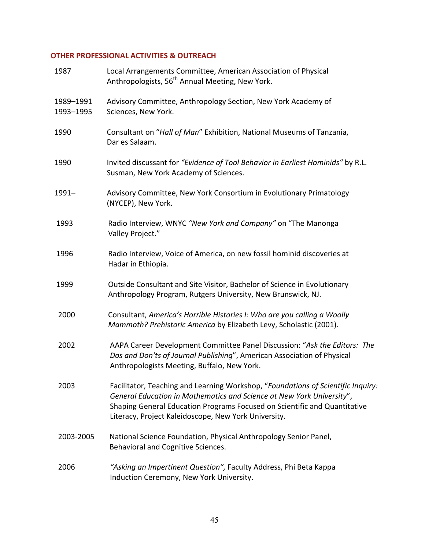# **OTHER PROFESSIONAL ACTIVITIES & OUTREACH**

| 1987                   | Local Arrangements Committee, American Association of Physical<br>Anthropologists, 56 <sup>th</sup> Annual Meeting, New York.                                                                                                                                                                  |
|------------------------|------------------------------------------------------------------------------------------------------------------------------------------------------------------------------------------------------------------------------------------------------------------------------------------------|
| 1989-1991<br>1993-1995 | Advisory Committee, Anthropology Section, New York Academy of<br>Sciences, New York.                                                                                                                                                                                                           |
| 1990                   | Consultant on "Hall of Man" Exhibition, National Museums of Tanzania,<br>Dar es Salaam.                                                                                                                                                                                                        |
| 1990                   | Invited discussant for "Evidence of Tool Behavior in Earliest Hominids" by R.L.<br>Susman, New York Academy of Sciences.                                                                                                                                                                       |
| $1991 -$               | Advisory Committee, New York Consortium in Evolutionary Primatology<br>(NYCEP), New York.                                                                                                                                                                                                      |
| 1993                   | Radio Interview, WNYC "New York and Company" on "The Manonga<br>Valley Project."                                                                                                                                                                                                               |
| 1996                   | Radio Interview, Voice of America, on new fossil hominid discoveries at<br>Hadar in Ethiopia.                                                                                                                                                                                                  |
| 1999                   | Outside Consultant and Site Visitor, Bachelor of Science in Evolutionary<br>Anthropology Program, Rutgers University, New Brunswick, NJ.                                                                                                                                                       |
| 2000                   | Consultant, America's Horrible Histories I: Who are you calling a Woolly<br>Mammoth? Prehistoric America by Elizabeth Levy, Scholastic (2001).                                                                                                                                                 |
| 2002                   | AAPA Career Development Committee Panel Discussion: "Ask the Editors: The<br>Dos and Don'ts of Journal Publishing", American Association of Physical<br>Anthropologists Meeting, Buffalo, New York.                                                                                            |
| 2003                   | Facilitator, Teaching and Learning Workshop, "Foundations of Scientific Inquiry:<br>General Education in Mathematics and Science at New York University",<br>Shaping General Education Programs Focused on Scientific and Quantitative<br>Literacy, Project Kaleidoscope, New York University. |
| 2003-2005              | National Science Foundation, Physical Anthropology Senior Panel,<br>Behavioral and Cognitive Sciences.                                                                                                                                                                                         |
| 2006                   | "Asking an Impertinent Question", Faculty Address, Phi Beta Kappa<br>Induction Ceremony, New York University.                                                                                                                                                                                  |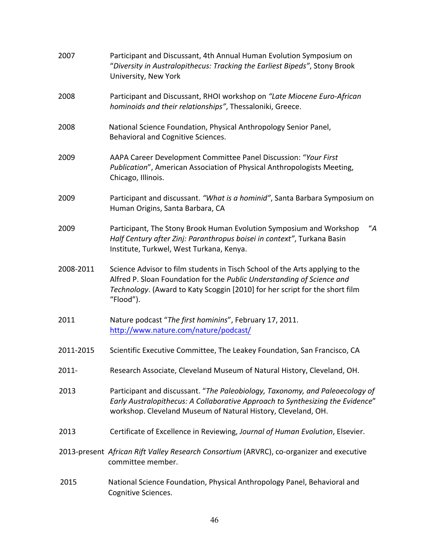| 2007      | Participant and Discussant, 4th Annual Human Evolution Symposium on<br>"Diversity in Australopithecus: Tracking the Earliest Bipeds", Stony Brook<br>University, New York                                                                          |
|-----------|----------------------------------------------------------------------------------------------------------------------------------------------------------------------------------------------------------------------------------------------------|
| 2008      | Participant and Discussant, RHOI workshop on "Late Miocene Euro-African<br>hominoids and their relationships", Thessaloniki, Greece.                                                                                                               |
| 2008      | National Science Foundation, Physical Anthropology Senior Panel,<br>Behavioral and Cognitive Sciences.                                                                                                                                             |
| 2009      | AAPA Career Development Committee Panel Discussion: "Your First<br>Publication", American Association of Physical Anthropologists Meeting,<br>Chicago, Illinois.                                                                                   |
| 2009      | Participant and discussant. "What is a hominid", Santa Barbara Symposium on<br>Human Origins, Santa Barbara, CA                                                                                                                                    |
| 2009      | "A"<br>Participant, The Stony Brook Human Evolution Symposium and Workshop<br>Half Century after Zinj: Paranthropus boisei in context", Turkana Basin<br>Institute, Turkwel, West Turkana, Kenya.                                                  |
| 2008-2011 | Science Advisor to film students in Tisch School of the Arts applying to the<br>Alfred P. Sloan Foundation for the Public Understanding of Science and<br>Technology. (Award to Katy Scoggin [2010] for her script for the short film<br>"Flood"). |
| 2011      | Nature podcast "The first hominins", February 17, 2011.<br>http://www.nature.com/nature/podcast/                                                                                                                                                   |
| 2011-2015 | Scientific Executive Committee, The Leakey Foundation, San Francisco, CA                                                                                                                                                                           |
| 2011-     | Research Associate, Cleveland Museum of Natural History, Cleveland, OH.                                                                                                                                                                            |
| 2013      | Participant and discussant. "The Paleobiology, Taxonomy, and Paleoecology of<br>Early Australopithecus: A Collaborative Approach to Synthesizing the Evidence"<br>workshop. Cleveland Museum of Natural History, Cleveland, OH.                    |
| 2013      | Certificate of Excellence in Reviewing, Journal of Human Evolution, Elsevier.                                                                                                                                                                      |
|           | 2013-present African Rift Valley Research Consortium (ARVRC), co-organizer and executive<br>committee member.                                                                                                                                      |
| 2015      | National Science Foundation, Physical Anthropology Panel, Behavioral and<br>Cognitive Sciences.                                                                                                                                                    |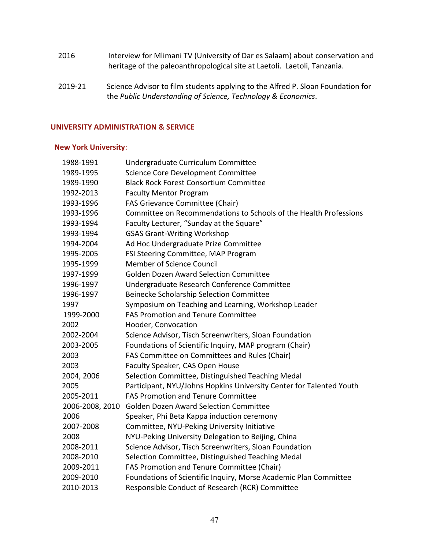- 2016 Interview for Mlimani TV (University of Dar es Salaam) about conservation and heritage of the paleoanthropological site at Laetoli. Laetoli, Tanzania.
- 2019-21 Science Advisor to film students applying to the Alfred P. Sloan Foundation for  the *Public Understanding of Science, Technology & Economics*.

# **UNIVERSITY ADMINISTRATION & SERVICE**

# **New York University**:

| 1988-1991       | Undergraduate Curriculum Committee                                  |
|-----------------|---------------------------------------------------------------------|
| 1989-1995       | Science Core Development Committee                                  |
| 1989-1990       | <b>Black Rock Forest Consortium Committee</b>                       |
| 1992-2013       | <b>Faculty Mentor Program</b>                                       |
| 1993-1996       | FAS Grievance Committee (Chair)                                     |
| 1993-1996       | Committee on Recommendations to Schools of the Health Professions   |
| 1993-1994       | Faculty Lecturer, "Sunday at the Square"                            |
| 1993-1994       | <b>GSAS Grant-Writing Workshop</b>                                  |
| 1994-2004       | Ad Hoc Undergraduate Prize Committee                                |
| 1995-2005       | FSI Steering Committee, MAP Program                                 |
| 1995-1999       | <b>Member of Science Council</b>                                    |
| 1997-1999       | <b>Golden Dozen Award Selection Committee</b>                       |
| 1996-1997       | Undergraduate Research Conference Committee                         |
| 1996-1997       | Beinecke Scholarship Selection Committee                            |
| 1997            | Symposium on Teaching and Learning, Workshop Leader                 |
| 1999-2000       | <b>FAS Promotion and Tenure Committee</b>                           |
| 2002            | Hooder, Convocation                                                 |
| 2002-2004       | Science Advisor, Tisch Screenwriters, Sloan Foundation              |
| 2003-2005       | Foundations of Scientific Inquiry, MAP program (Chair)              |
| 2003            | FAS Committee on Committees and Rules (Chair)                       |
| 2003            | Faculty Speaker, CAS Open House                                     |
| 2004, 2006      | Selection Committee, Distinguished Teaching Medal                   |
| 2005            | Participant, NYU/Johns Hopkins University Center for Talented Youth |
| 2005-2011       | <b>FAS Promotion and Tenure Committee</b>                           |
| 2006-2008, 2010 | <b>Golden Dozen Award Selection Committee</b>                       |
| 2006            | Speaker, Phi Beta Kappa induction ceremony                          |
| 2007-2008       | Committee, NYU-Peking University Initiative                         |
| 2008            | NYU-Peking University Delegation to Beijing, China                  |
| 2008-2011       | Science Advisor, Tisch Screenwriters, Sloan Foundation              |
| 2008-2010       | Selection Committee, Distinguished Teaching Medal                   |
| 2009-2011       | FAS Promotion and Tenure Committee (Chair)                          |
| 2009-2010       | Foundations of Scientific Inquiry, Morse Academic Plan Committee    |
| 2010-2013       | Responsible Conduct of Research (RCR) Committee                     |
|                 |                                                                     |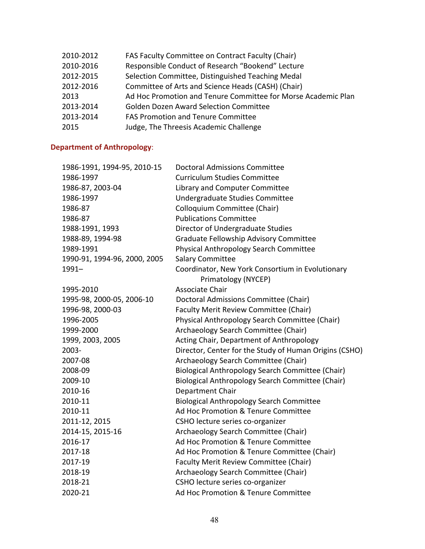| 2010-2012 | FAS Faculty Committee on Contract Faculty (Chair)             |
|-----------|---------------------------------------------------------------|
| 2010-2016 | Responsible Conduct of Research "Bookend" Lecture             |
| 2012-2015 | Selection Committee, Distinguished Teaching Medal             |
| 2012-2016 | Committee of Arts and Science Heads (CASH) (Chair)            |
| 2013      | Ad Hoc Promotion and Tenure Committee for Morse Academic Plan |
| 2013-2014 | <b>Golden Dozen Award Selection Committee</b>                 |
| 2013-2014 | <b>FAS Promotion and Tenure Committee</b>                     |
| 2015      | Judge, The Threesis Academic Challenge                        |

### **Department of Anthropology**:

| 1986-1991, 1994-95, 2010-15  | <b>Doctoral Admissions Committee</b>                                    |
|------------------------------|-------------------------------------------------------------------------|
| 1986-1997                    | <b>Curriculum Studies Committee</b>                                     |
| 1986-87, 2003-04             | Library and Computer Committee                                          |
| 1986-1997                    | Undergraduate Studies Committee                                         |
| 1986-87                      | Colloquium Committee (Chair)                                            |
| 1986-87                      | <b>Publications Committee</b>                                           |
| 1988-1991, 1993              | Director of Undergraduate Studies                                       |
| 1988-89, 1994-98             | Graduate Fellowship Advisory Committee                                  |
| 1989-1991                    | Physical Anthropology Search Committee                                  |
| 1990-91, 1994-96, 2000, 2005 | <b>Salary Committee</b>                                                 |
| $1991 -$                     | Coordinator, New York Consortium in Evolutionary<br>Primatology (NYCEP) |
| 1995-2010                    | Associate Chair                                                         |
| 1995-98, 2000-05, 2006-10    | Doctoral Admissions Committee (Chair)                                   |
| 1996-98, 2000-03             | Faculty Merit Review Committee (Chair)                                  |
| 1996-2005                    | Physical Anthropology Search Committee (Chair)                          |
| 1999-2000                    | Archaeology Search Committee (Chair)                                    |
| 1999, 2003, 2005             | Acting Chair, Department of Anthropology                                |
| 2003-                        | Director, Center for the Study of Human Origins (CSHO)                  |
| 2007-08                      | Archaeology Search Committee (Chair)                                    |
| 2008-09                      | Biological Anthropology Search Committee (Chair)                        |
| 2009-10                      | Biological Anthropology Search Committee (Chair)                        |
| 2010-16                      | Department Chair                                                        |
| 2010-11                      | <b>Biological Anthropology Search Committee</b>                         |
| 2010-11                      | Ad Hoc Promotion & Tenure Committee                                     |
| 2011-12, 2015                | CSHO lecture series co-organizer                                        |
| 2014-15, 2015-16             | Archaeology Search Committee (Chair)                                    |
| 2016-17                      | Ad Hoc Promotion & Tenure Committee                                     |
| 2017-18                      | Ad Hoc Promotion & Tenure Committee (Chair)                             |
| 2017-19                      | Faculty Merit Review Committee (Chair)                                  |
| 2018-19                      | Archaeology Search Committee (Chair)                                    |
| 2018-21                      | CSHO lecture series co-organizer                                        |
| 2020-21                      | Ad Hoc Promotion & Tenure Committee                                     |
|                              |                                                                         |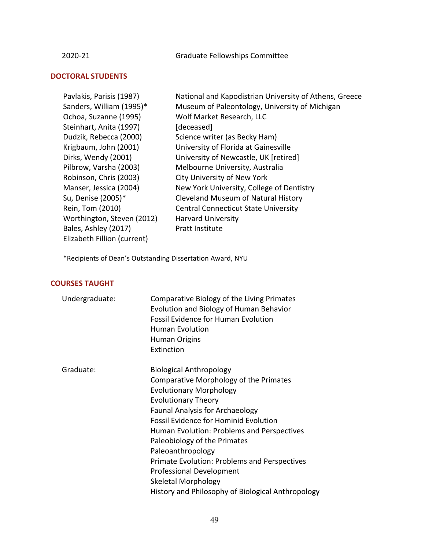2020-21 Graduate Fellowships Committee

# **DOCTORAL STUDENTS**

| Pavlakis, Parisis (1987)    | National and Kapodistrian University of Athens, Greece |
|-----------------------------|--------------------------------------------------------|
| Sanders, William (1995)*    | Museum of Paleontology, University of Michigan         |
| Ochoa, Suzanne (1995)       | Wolf Market Research, LLC                              |
| Steinhart, Anita (1997)     | [deceased]                                             |
| Dudzik, Rebecca (2000)      | Science writer (as Becky Ham)                          |
| Krigbaum, John (2001)       | University of Florida at Gainesville                   |
| Dirks, Wendy (2001)         | University of Newcastle, UK [retired]                  |
| Pilbrow, Varsha (2003)      | Melbourne University, Australia                        |
| Robinson, Chris (2003)      | <b>City University of New York</b>                     |
| Manser, Jessica (2004)      | New York University, College of Dentistry              |
| Su, Denise (2005)*          | Cleveland Museum of Natural History                    |
| Rein, Tom (2010)            | <b>Central Connecticut State University</b>            |
| Worthington, Steven (2012)  | <b>Harvard University</b>                              |
| Bales, Ashley (2017)        | Pratt Institute                                        |
| Elizabeth Fillion (current) |                                                        |

 \*Recipients of Dean's Outstanding Dissertation Award, NYU

#### **COURSES TAUGHT**

| Undergraduate: | Comparative Biology of the Living Primates<br>Evolution and Biology of Human Behavior<br><b>Fossil Evidence for Human Evolution</b><br><b>Human Evolution</b><br><b>Human Origins</b><br>Extinction                                                                                                                                                                                                                                                                                                  |
|----------------|------------------------------------------------------------------------------------------------------------------------------------------------------------------------------------------------------------------------------------------------------------------------------------------------------------------------------------------------------------------------------------------------------------------------------------------------------------------------------------------------------|
| Graduate:      | <b>Biological Anthropology</b><br>Comparative Morphology of the Primates<br><b>Evolutionary Morphology</b><br><b>Evolutionary Theory</b><br><b>Faunal Analysis for Archaeology</b><br><b>Fossil Evidence for Hominid Evolution</b><br>Human Evolution: Problems and Perspectives<br>Paleobiology of the Primates<br>Paleoanthropology<br>Primate Evolution: Problems and Perspectives<br><b>Professional Development</b><br>Skeletal Morphology<br>History and Philosophy of Biological Anthropology |